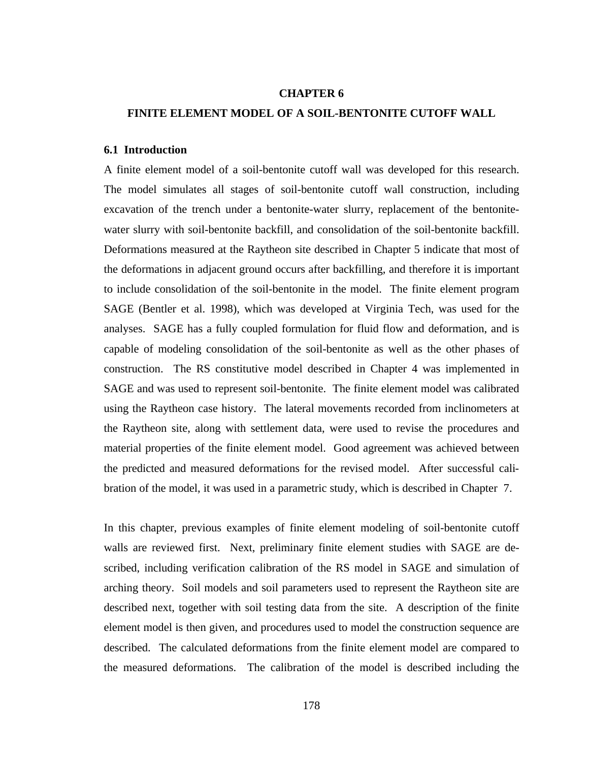#### **CHAPTER 6**

# **FINITE ELEMENT MODEL OF A SOIL-BENTONITE CUTOFF WALL**

### **6.1 Introduction**

A finite element model of a soil-bentonite cutoff wall was developed for this research. The model simulates all stages of soil-bentonite cutoff wall construction, including excavation of the trench under a bentonite-water slurry, replacement of the bentonitewater slurry with soil-bentonite backfill, and consolidation of the soil-bentonite backfill. Deformations measured at the Raytheon site described in Chapter 5 indicate that most of the deformations in adjacent ground occurs after backfilling, and therefore it is important to include consolidation of the soil-bentonite in the model. The finite element program SAGE (Bentler et al. 1998), which was developed at Virginia Tech, was used for the analyses. SAGE has a fully coupled formulation for fluid flow and deformation, and is capable of modeling consolidation of the soil-bentonite as well as the other phases of construction. The RS constitutive model described in Chapter 4 was implemented in SAGE and was used to represent soil-bentonite. The finite element model was calibrated using the Raytheon case history. The lateral movements recorded from inclinometers at the Raytheon site, along with settlement data, were used to revise the procedures and material properties of the finite element model. Good agreement was achieved between the predicted and measured deformations for the revised model. After successful calibration of the model, it was used in a parametric study, which is described in Chapter 7.

In this chapter, previous examples of finite element modeling of soil-bentonite cutoff walls are reviewed first. Next, preliminary finite element studies with SAGE are described, including verification calibration of the RS model in SAGE and simulation of arching theory. Soil models and soil parameters used to represent the Raytheon site are described next, together with soil testing data from the site. A description of the finite element model is then given, and procedures used to model the construction sequence are described. The calculated deformations from the finite element model are compared to the measured deformations. The calibration of the model is described including the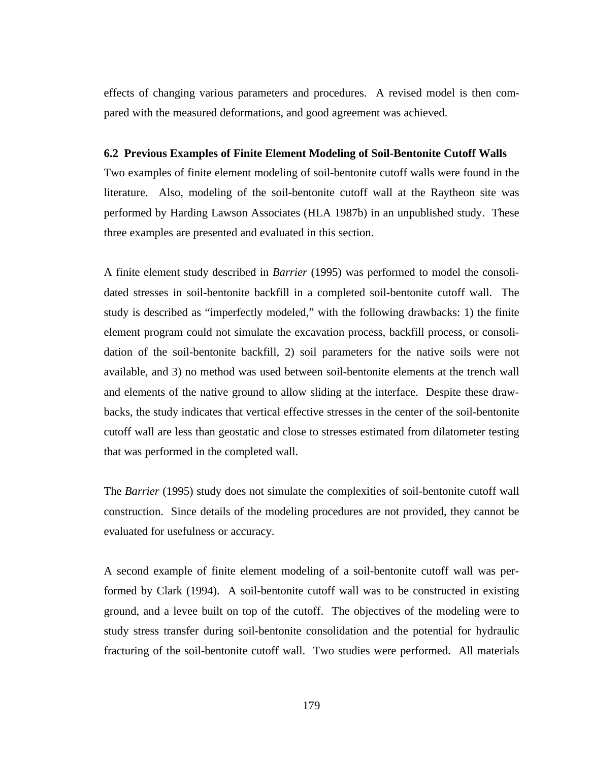effects of changing various parameters and procedures. A revised model is then compared with the measured deformations, and good agreement was achieved.

### **6.2 Previous Examples of Finite Element Modeling of Soil-Bentonite Cutoff Walls**

Two examples of finite element modeling of soil-bentonite cutoff walls were found in the literature. Also, modeling of the soil-bentonite cutoff wall at the Raytheon site was performed by Harding Lawson Associates (HLA 1987b) in an unpublished study. These three examples are presented and evaluated in this section.

A finite element study described in *Barrier* (1995) was performed to model the consolidated stresses in soil-bentonite backfill in a completed soil-bentonite cutoff wall. The study is described as "imperfectly modeled," with the following drawbacks: 1) the finite element program could not simulate the excavation process, backfill process, or consolidation of the soil-bentonite backfill, 2) soil parameters for the native soils were not available, and 3) no method was used between soil-bentonite elements at the trench wall and elements of the native ground to allow sliding at the interface. Despite these drawbacks, the study indicates that vertical effective stresses in the center of the soil-bentonite cutoff wall are less than geostatic and close to stresses estimated from dilatometer testing that was performed in the completed wall.

The *Barrier* (1995) study does not simulate the complexities of soil-bentonite cutoff wall construction. Since details of the modeling procedures are not provided, they cannot be evaluated for usefulness or accuracy.

A second example of finite element modeling of a soil-bentonite cutoff wall was performed by Clark (1994). A soil-bentonite cutoff wall was to be constructed in existing ground, and a levee built on top of the cutoff. The objectives of the modeling were to study stress transfer during soil-bentonite consolidation and the potential for hydraulic fracturing of the soil-bentonite cutoff wall. Two studies were performed. All materials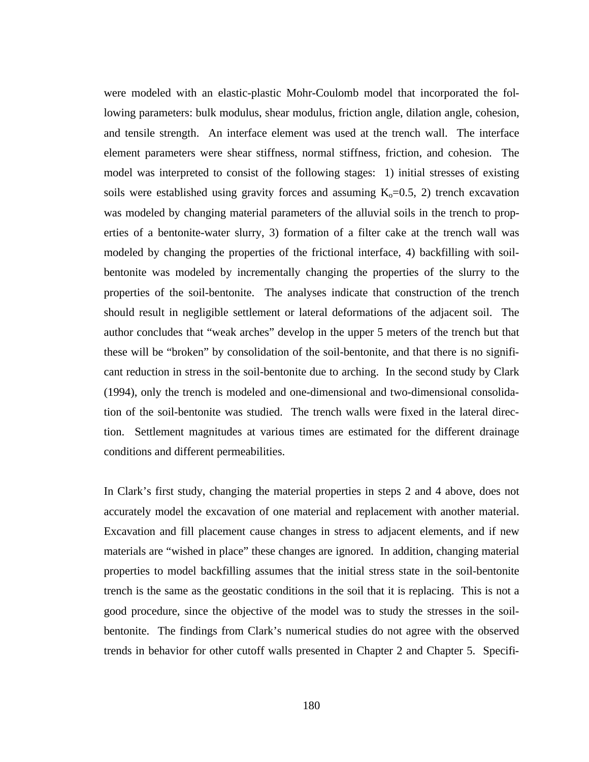were modeled with an elastic-plastic Mohr-Coulomb model that incorporated the following parameters: bulk modulus, shear modulus, friction angle, dilation angle, cohesion, and tensile strength. An interface element was used at the trench wall. The interface element parameters were shear stiffness, normal stiffness, friction, and cohesion. The model was interpreted to consist of the following stages: 1) initial stresses of existing soils were established using gravity forces and assuming  $K_0=0.5, 2$ ) trench excavation was modeled by changing material parameters of the alluvial soils in the trench to properties of a bentonite-water slurry, 3) formation of a filter cake at the trench wall was modeled by changing the properties of the frictional interface, 4) backfilling with soilbentonite was modeled by incrementally changing the properties of the slurry to the properties of the soil-bentonite. The analyses indicate that construction of the trench should result in negligible settlement or lateral deformations of the adjacent soil. The author concludes that "weak arches" develop in the upper 5 meters of the trench but that these will be "broken" by consolidation of the soil-bentonite, and that there is no significant reduction in stress in the soil-bentonite due to arching. In the second study by Clark (1994), only the trench is modeled and one-dimensional and two-dimensional consolidation of the soil-bentonite was studied. The trench walls were fixed in the lateral direction. Settlement magnitudes at various times are estimated for the different drainage conditions and different permeabilities.

In Clark's first study, changing the material properties in steps 2 and 4 above, does not accurately model the excavation of one material and replacement with another material. Excavation and fill placement cause changes in stress to adjacent elements, and if new materials are "wished in place" these changes are ignored. In addition, changing material properties to model backfilling assumes that the initial stress state in the soil-bentonite trench is the same as the geostatic conditions in the soil that it is replacing. This is not a good procedure, since the objective of the model was to study the stresses in the soilbentonite. The findings from Clark's numerical studies do not agree with the observed trends in behavior for other cutoff walls presented in Chapter 2 and Chapter 5. Specifi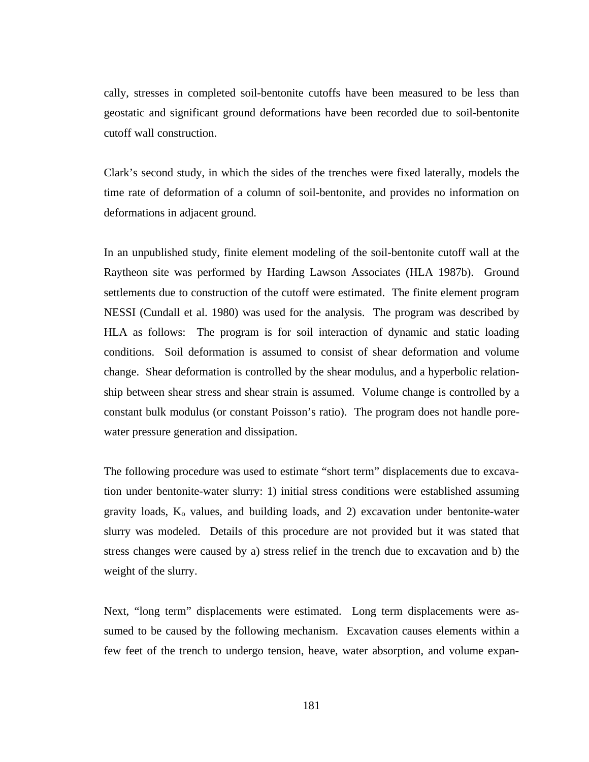cally, stresses in completed soil-bentonite cutoffs have been measured to be less than geostatic and significant ground deformations have been recorded due to soil-bentonite cutoff wall construction.

Clark's second study, in which the sides of the trenches were fixed laterally, models the time rate of deformation of a column of soil-bentonite, and provides no information on deformations in adjacent ground.

In an unpublished study, finite element modeling of the soil-bentonite cutoff wall at the Raytheon site was performed by Harding Lawson Associates (HLA 1987b). Ground settlements due to construction of the cutoff were estimated. The finite element program NESSI (Cundall et al. 1980) was used for the analysis. The program was described by HLA as follows: The program is for soil interaction of dynamic and static loading conditions. Soil deformation is assumed to consist of shear deformation and volume change. Shear deformation is controlled by the shear modulus, and a hyperbolic relationship between shear stress and shear strain is assumed. Volume change is controlled by a constant bulk modulus (or constant Poisson's ratio). The program does not handle porewater pressure generation and dissipation.

The following procedure was used to estimate "short term" displacements due to excavation under bentonite-water slurry: 1) initial stress conditions were established assuming gravity loads,  $K_0$  values, and building loads, and 2) excavation under bentonite-water slurry was modeled. Details of this procedure are not provided but it was stated that stress changes were caused by a) stress relief in the trench due to excavation and b) the weight of the slurry.

Next, "long term" displacements were estimated. Long term displacements were assumed to be caused by the following mechanism. Excavation causes elements within a few feet of the trench to undergo tension, heave, water absorption, and volume expan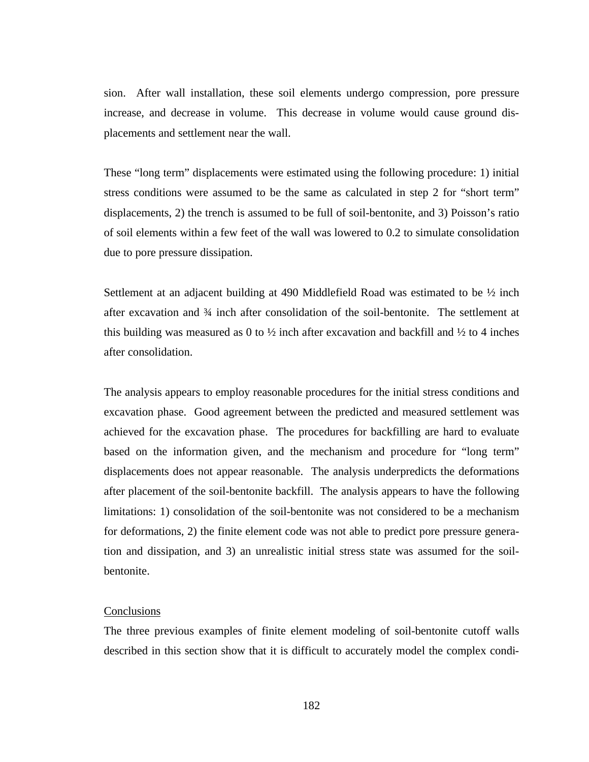sion. After wall installation, these soil elements undergo compression, pore pressure increase, and decrease in volume. This decrease in volume would cause ground displacements and settlement near the wall.

These "long term" displacements were estimated using the following procedure: 1) initial stress conditions were assumed to be the same as calculated in step 2 for "short term" displacements, 2) the trench is assumed to be full of soil-bentonite, and 3) Poisson's ratio of soil elements within a few feet of the wall was lowered to 0.2 to simulate consolidation due to pore pressure dissipation.

Settlement at an adjacent building at 490 Middlefield Road was estimated to be  $\frac{1}{2}$  inch after excavation and ¾ inch after consolidation of the soil-bentonite. The settlement at this building was measured as 0 to  $\frac{1}{2}$  inch after excavation and backfill and  $\frac{1}{2}$  to 4 inches after consolidation.

The analysis appears to employ reasonable procedures for the initial stress conditions and excavation phase. Good agreement between the predicted and measured settlement was achieved for the excavation phase. The procedures for backfilling are hard to evaluate based on the information given, and the mechanism and procedure for "long term" displacements does not appear reasonable. The analysis underpredicts the deformations after placement of the soil-bentonite backfill. The analysis appears to have the following limitations: 1) consolidation of the soil-bentonite was not considered to be a mechanism for deformations, 2) the finite element code was not able to predict pore pressure generation and dissipation, and 3) an unrealistic initial stress state was assumed for the soilbentonite.

### **Conclusions**

The three previous examples of finite element modeling of soil-bentonite cutoff walls described in this section show that it is difficult to accurately model the complex condi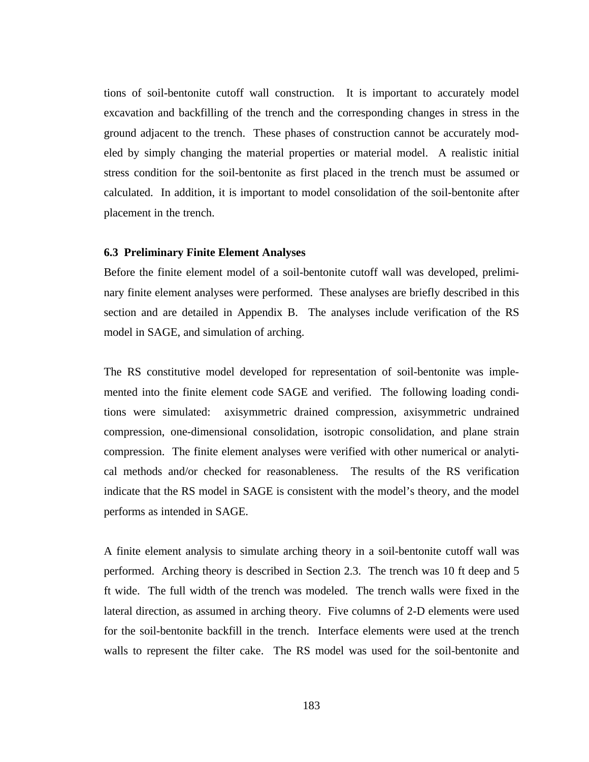tions of soil-bentonite cutoff wall construction. It is important to accurately model excavation and backfilling of the trench and the corresponding changes in stress in the ground adjacent to the trench. These phases of construction cannot be accurately modeled by simply changing the material properties or material model. A realistic initial stress condition for the soil-bentonite as first placed in the trench must be assumed or calculated. In addition, it is important to model consolidation of the soil-bentonite after placement in the trench.

### **6.3 Preliminary Finite Element Analyses**

Before the finite element model of a soil-bentonite cutoff wall was developed, preliminary finite element analyses were performed. These analyses are briefly described in this section and are detailed in Appendix B. The analyses include verification of the RS model in SAGE, and simulation of arching.

The RS constitutive model developed for representation of soil-bentonite was implemented into the finite element code SAGE and verified. The following loading conditions were simulated: axisymmetric drained compression, axisymmetric undrained compression, one-dimensional consolidation, isotropic consolidation, and plane strain compression. The finite element analyses were verified with other numerical or analytical methods and/or checked for reasonableness. The results of the RS verification indicate that the RS model in SAGE is consistent with the model's theory, and the model performs as intended in SAGE.

A finite element analysis to simulate arching theory in a soil-bentonite cutoff wall was performed. Arching theory is described in Section 2.3. The trench was 10 ft deep and 5 ft wide. The full width of the trench was modeled. The trench walls were fixed in the lateral direction, as assumed in arching theory. Five columns of 2-D elements were used for the soil-bentonite backfill in the trench. Interface elements were used at the trench walls to represent the filter cake. The RS model was used for the soil-bentonite and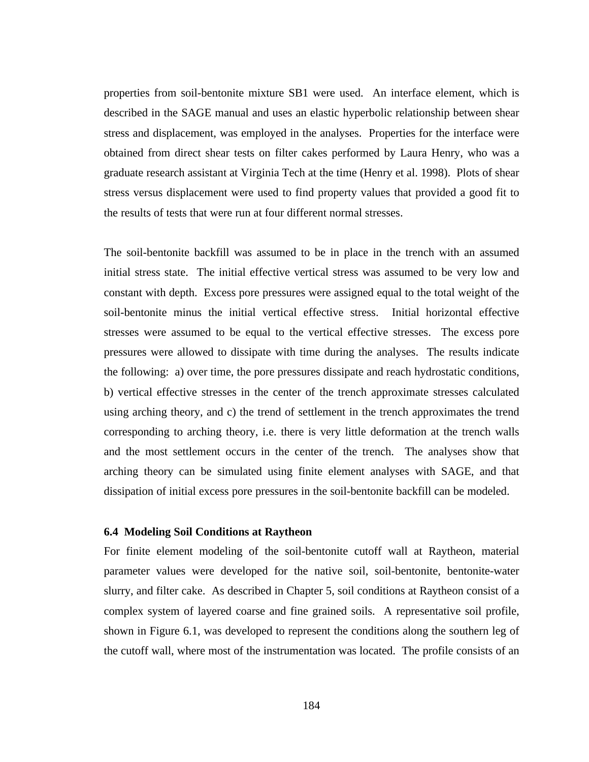properties from soil-bentonite mixture SB1 were used. An interface element, which is described in the SAGE manual and uses an elastic hyperbolic relationship between shear stress and displacement, was employed in the analyses. Properties for the interface were obtained from direct shear tests on filter cakes performed by Laura Henry, who was a graduate research assistant at Virginia Tech at the time (Henry et al. 1998). Plots of shear stress versus displacement were used to find property values that provided a good fit to the results of tests that were run at four different normal stresses.

The soil-bentonite backfill was assumed to be in place in the trench with an assumed initial stress state. The initial effective vertical stress was assumed to be very low and constant with depth. Excess pore pressures were assigned equal to the total weight of the soil-bentonite minus the initial vertical effective stress. Initial horizontal effective stresses were assumed to be equal to the vertical effective stresses. The excess pore pressures were allowed to dissipate with time during the analyses. The results indicate the following: a) over time, the pore pressures dissipate and reach hydrostatic conditions, b) vertical effective stresses in the center of the trench approximate stresses calculated using arching theory, and c) the trend of settlement in the trench approximates the trend corresponding to arching theory, i.e. there is very little deformation at the trench walls and the most settlement occurs in the center of the trench. The analyses show that arching theory can be simulated using finite element analyses with SAGE, and that dissipation of initial excess pore pressures in the soil-bentonite backfill can be modeled.

# **6.4 Modeling Soil Conditions at Raytheon**

For finite element modeling of the soil-bentonite cutoff wall at Raytheon, material parameter values were developed for the native soil, soil-bentonite, bentonite-water slurry, and filter cake. As described in Chapter 5, soil conditions at Raytheon consist of a complex system of layered coarse and fine grained soils. A representative soil profile, shown in Figure 6.1, was developed to represent the conditions along the southern leg of the cutoff wall, where most of the instrumentation was located. The profile consists of an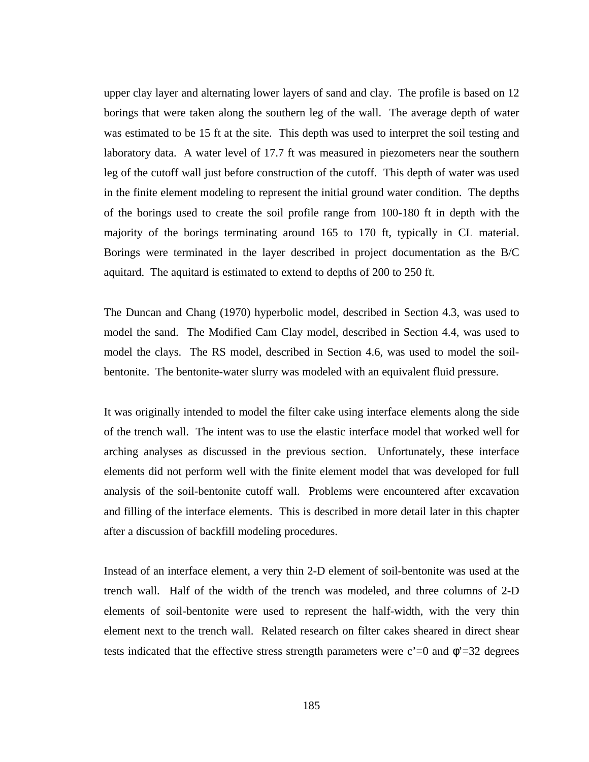upper clay layer and alternating lower layers of sand and clay. The profile is based on 12 borings that were taken along the southern leg of the wall. The average depth of water was estimated to be 15 ft at the site. This depth was used to interpret the soil testing and laboratory data. A water level of 17.7 ft was measured in piezometers near the southern leg of the cutoff wall just before construction of the cutoff. This depth of water was used in the finite element modeling to represent the initial ground water condition. The depths of the borings used to create the soil profile range from 100-180 ft in depth with the majority of the borings terminating around 165 to 170 ft, typically in CL material. Borings were terminated in the layer described in project documentation as the B/C aquitard. The aquitard is estimated to extend to depths of 200 to 250 ft.

The Duncan and Chang (1970) hyperbolic model, described in Section 4.3, was used to model the sand. The Modified Cam Clay model, described in Section 4.4, was used to model the clays. The RS model, described in Section 4.6, was used to model the soilbentonite. The bentonite-water slurry was modeled with an equivalent fluid pressure.

It was originally intended to model the filter cake using interface elements along the side of the trench wall. The intent was to use the elastic interface model that worked well for arching analyses as discussed in the previous section. Unfortunately, these interface elements did not perform well with the finite element model that was developed for full analysis of the soil-bentonite cutoff wall. Problems were encountered after excavation and filling of the interface elements. This is described in more detail later in this chapter after a discussion of backfill modeling procedures.

Instead of an interface element, a very thin 2-D element of soil-bentonite was used at the trench wall. Half of the width of the trench was modeled, and three columns of 2-D elements of soil-bentonite were used to represent the half-width, with the very thin element next to the trench wall. Related research on filter cakes sheared in direct shear tests indicated that the effective stress strength parameters were  $c'=0$  and  $\phi'=32$  degrees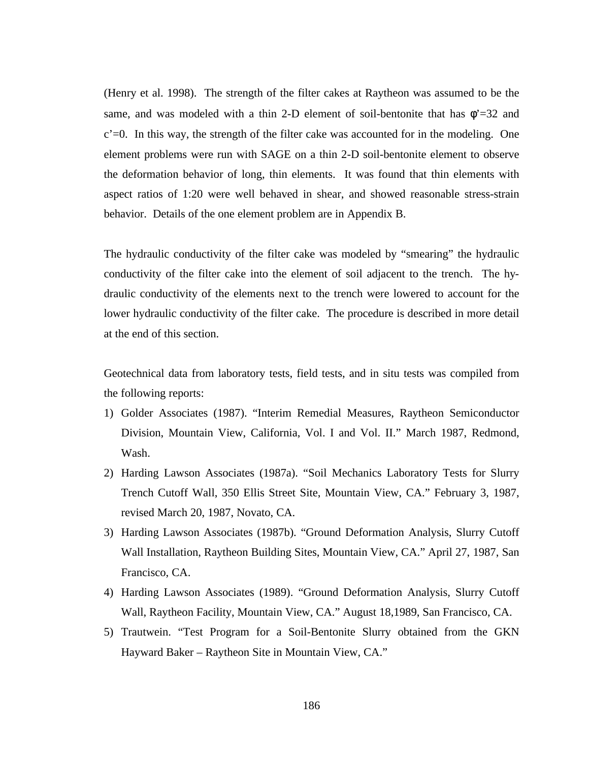(Henry et al. 1998). The strength of the filter cakes at Raytheon was assumed to be the same, and was modeled with a thin 2-D element of soil-bentonite that has  $\phi = 32$  and  $c'=0$ . In this way, the strength of the filter cake was accounted for in the modeling. One element problems were run with SAGE on a thin 2-D soil-bentonite element to observe the deformation behavior of long, thin elements. It was found that thin elements with aspect ratios of 1:20 were well behaved in shear, and showed reasonable stress-strain behavior. Details of the one element problem are in Appendix B.

The hydraulic conductivity of the filter cake was modeled by "smearing" the hydraulic conductivity of the filter cake into the element of soil adjacent to the trench. The hydraulic conductivity of the elements next to the trench were lowered to account for the lower hydraulic conductivity of the filter cake. The procedure is described in more detail at the end of this section.

Geotechnical data from laboratory tests, field tests, and in situ tests was compiled from the following reports:

- 1) Golder Associates (1987). "Interim Remedial Measures, Raytheon Semiconductor Division, Mountain View, California, Vol. I and Vol. II." March 1987, Redmond, Wash.
- 2) Harding Lawson Associates (1987a). "Soil Mechanics Laboratory Tests for Slurry Trench Cutoff Wall, 350 Ellis Street Site, Mountain View, CA." February 3, 1987, revised March 20, 1987, Novato, CA.
- 3) Harding Lawson Associates (1987b). "Ground Deformation Analysis, Slurry Cutoff Wall Installation, Raytheon Building Sites, Mountain View, CA." April 27, 1987, San Francisco, CA.
- 4) Harding Lawson Associates (1989). "Ground Deformation Analysis, Slurry Cutoff Wall, Raytheon Facility, Mountain View, CA." August 18,1989, San Francisco, CA.
- 5) Trautwein. "Test Program for a Soil-Bentonite Slurry obtained from the GKN Hayward Baker – Raytheon Site in Mountain View, CA."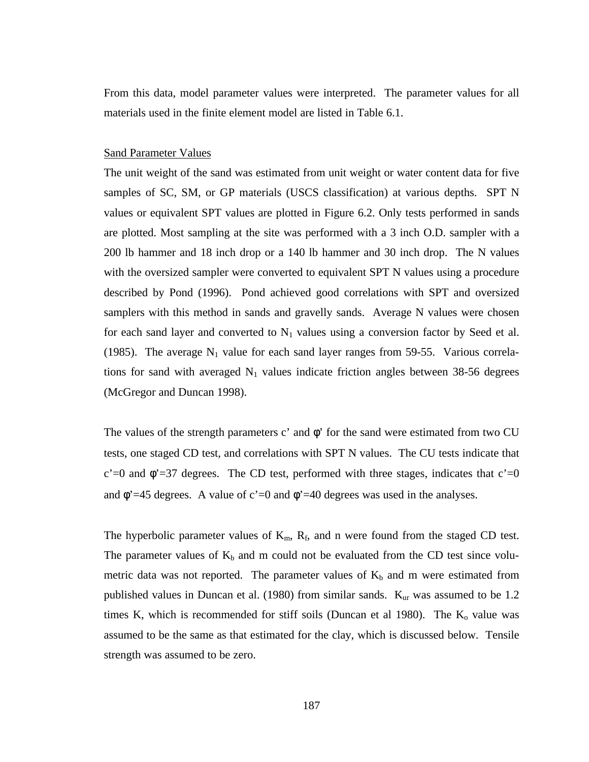From this data, model parameter values were interpreted. The parameter values for all materials used in the finite element model are listed in Table 6.1.

# Sand Parameter Values

The unit weight of the sand was estimated from unit weight or water content data for five samples of SC, SM, or GP materials (USCS classification) at various depths. SPT N values or equivalent SPT values are plotted in Figure 6.2. Only tests performed in sands are plotted. Most sampling at the site was performed with a 3 inch O.D. sampler with a 200 lb hammer and 18 inch drop or a 140 lb hammer and 30 inch drop. The N values with the oversized sampler were converted to equivalent SPT N values using a procedure described by Pond (1996). Pond achieved good correlations with SPT and oversized samplers with this method in sands and gravelly sands. Average N values were chosen for each sand layer and converted to  $N_1$  values using a conversion factor by Seed et al. (1985). The average  $N_1$  value for each sand layer ranges from 59-55. Various correlations for sand with averaged  $N_1$  values indicate friction angles between 38-56 degrees (McGregor and Duncan 1998).

The values of the strength parameters c' and  $\phi$ ' for the sand were estimated from two CU tests, one staged CD test, and correlations with SPT N values. The CU tests indicate that c'=0 and  $\phi$ '=37 degrees. The CD test, performed with three stages, indicates that c'=0 and  $\phi$ '=45 degrees. A value of c'=0 and  $\phi$ '=40 degrees was used in the analyses.

The hyperbolic parameter values of  $K_m$ ,  $R_f$ , and n were found from the staged CD test. The parameter values of  $K_b$  and m could not be evaluated from the CD test since volumetric data was not reported. The parameter values of  $K_b$  and m were estimated from published values in Duncan et al. (1980) from similar sands. K<sub>ur</sub> was assumed to be 1.2 times K, which is recommended for stiff soils (Duncan et al 1980). The  $K_0$  value was assumed to be the same as that estimated for the clay, which is discussed below. Tensile strength was assumed to be zero.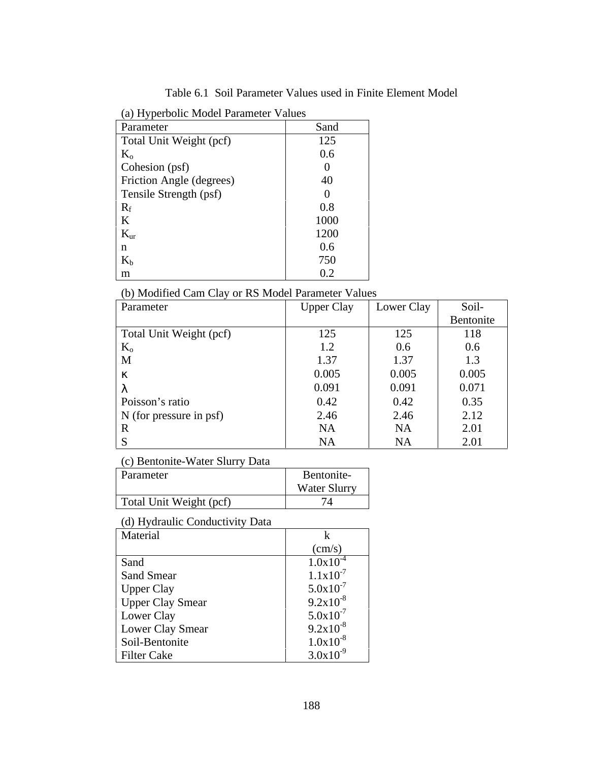Table 6.1 Soil Parameter Values used in Finite Element Model

| (a) Hyperbolic Model Parameter Values |  |  |  |
|---------------------------------------|--|--|--|
|---------------------------------------|--|--|--|

| Parameter                | Sand |
|--------------------------|------|
| Total Unit Weight (pcf)  | 125  |
| $K_{o}$                  | 0.6  |
| Cohesion (psf)           |      |
| Friction Angle (degrees) | 40   |
| Tensile Strength (psf)   |      |
| $R_f$                    | 0.8  |
| K                        | 1000 |
| $K_{\text{ur}}$          | 1200 |
| n                        | 0.6  |
| $K_{h}$                  | 750  |
| m                        | 0.2  |

(b) Modified Cam Clay or RS Model Parameter Values

| Parameter               | <b>Upper Clay</b> | Lower Clay | Soil-     |
|-------------------------|-------------------|------------|-----------|
|                         |                   |            | Bentonite |
| Total Unit Weight (pcf) | 125               | 125        | 118       |
| $K_{o}$                 | 1.2               | 0.6        | 0.6       |
| M                       | 1.37              | 1.37       | 1.3       |
| ĸ                       | 0.005             | 0.005      | 0.005     |
| λ                       | 0.091             | 0.091      | 0.071     |
| Poisson's ratio         | 0.42              | 0.42       | 0.35      |
| N (for pressure in psf) | 2.46              | 2.46       | 2.12      |
| R                       | <b>NA</b>         | <b>NA</b>  | 2.01      |
| S                       | <b>NA</b>         | <b>NA</b>  | 2.01      |

(c) Bentonite-Water Slurry Data

| Parameter               | Bentonite-          |
|-------------------------|---------------------|
|                         | <b>Water Slurry</b> |
| Total Unit Weight (pcf) | 74                  |
|                         |                     |

# (d) Hydraulic Conductivity Data

| Material                | k               |
|-------------------------|-----------------|
|                         | $\text{(cm/s)}$ |
| Sand                    | $1.0x10^{-4}$   |
| <b>Sand Smear</b>       | $1.1x10^{-7}$   |
| <b>Upper Clay</b>       | $5.0x10^{-7}$   |
| <b>Upper Clay Smear</b> | $9.2x10^{-8}$   |
| Lower Clay              | $5.0x10^{-7}$   |
| Lower Clay Smear        | $9.2x10^{-8}$   |
| Soil-Bentonite          | $1.0x10^{-8}$   |
| <b>Filter Cake</b>      | $3.0x10^{-9}$   |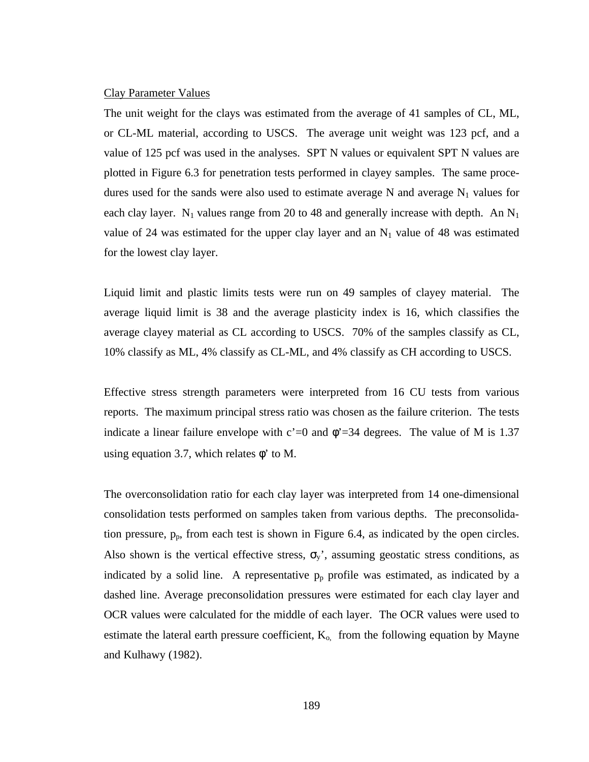#### Clay Parameter Values

The unit weight for the clays was estimated from the average of 41 samples of CL, ML, or CL-ML material, according to USCS. The average unit weight was 123 pcf, and a value of 125 pcf was used in the analyses. SPT N values or equivalent SPT N values are plotted in Figure 6.3 for penetration tests performed in clayey samples. The same procedures used for the sands were also used to estimate average N and average  $N_1$  values for each clay layer. N<sub>1</sub> values range from 20 to 48 and generally increase with depth. An  $N_1$ value of 24 was estimated for the upper clay layer and an  $N_1$  value of 48 was estimated for the lowest clay layer.

Liquid limit and plastic limits tests were run on 49 samples of clayey material. The average liquid limit is 38 and the average plasticity index is 16, which classifies the average clayey material as CL according to USCS. 70% of the samples classify as CL, 10% classify as ML, 4% classify as CL-ML, and 4% classify as CH according to USCS.

Effective stress strength parameters were interpreted from 16 CU tests from various reports. The maximum principal stress ratio was chosen as the failure criterion. The tests indicate a linear failure envelope with  $c'=0$  and  $\phi'=34$  degrees. The value of M is 1.37 using equation 3.7, which relates  $\phi'$  to M.

The overconsolidation ratio for each clay layer was interpreted from 14 one-dimensional consolidation tests performed on samples taken from various depths. The preconsolidation pressure, pp, from each test is shown in Figure 6.4, as indicated by the open circles. Also shown is the vertical effective stress,  $\sigma_y$ ', assuming geostatic stress conditions, as indicated by a solid line. A representative  $p_p$  profile was estimated, as indicated by a dashed line. Average preconsolidation pressures were estimated for each clay layer and OCR values were calculated for the middle of each layer. The OCR values were used to estimate the lateral earth pressure coefficient,  $K_{o}$  from the following equation by Mayne and Kulhawy (1982).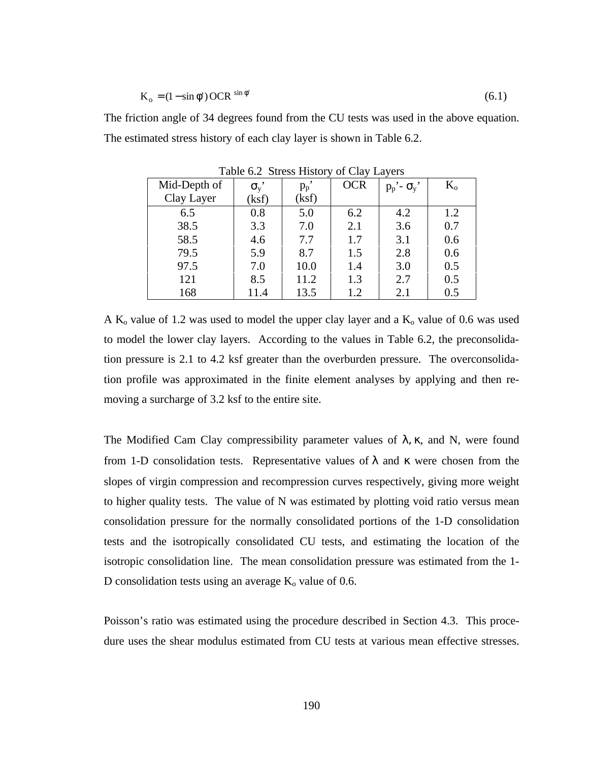$$
K_o = (1 - \sin \phi') OCR^{\sin \phi'} \tag{6.1}
$$

The friction angle of 34 degrees found from the CU tests was used in the above equation. The estimated stress history of each clay layer is shown in Table 6.2.

| Mid-Depth of | $\sigma_{v}$ | $p_p$ | <b>OCR</b> | $p_p'$ - $\sigma_y'$ | $K_{o}$ |
|--------------|--------------|-------|------------|----------------------|---------|
| Clay Layer   | (ksf)        | (ksf) |            |                      |         |
| 6.5          | 0.8          | 5.0   | 6.2        | 4.2                  | 1.2     |
| 38.5         | 3.3          | 7.0   | 2.1        | 3.6                  | 0.7     |
| 58.5         | 4.6          | 7.7   | 1.7        | 3.1                  | 0.6     |
| 79.5         | 5.9          | 8.7   | 1.5        | 2.8                  | 0.6     |
| 97.5         | 7.0          | 10.0  | 1.4        | 3.0                  | 0.5     |
| 121          | 8.5          | 11.2  | 1.3        | 2.7                  | 0.5     |
| 168          | 11.4         | 13.5  | 1.2        | 2.1                  | 0.5     |

Table 6.2 Stress History of Clay Layers

A  $K_0$  value of 1.2 was used to model the upper clay layer and a  $K_0$  value of 0.6 was used to model the lower clay layers. According to the values in Table 6.2, the preconsolidation pressure is 2.1 to 4.2 ksf greater than the overburden pressure. The overconsolidation profile was approximated in the finite element analyses by applying and then removing a surcharge of 3.2 ksf to the entire site.

The Modified Cam Clay compressibility parameter values of  $\lambda$ ,  $\kappa$ , and N, were found from 1-D consolidation tests. Representative values of  $\lambda$  and  $\kappa$  were chosen from the slopes of virgin compression and recompression curves respectively, giving more weight to higher quality tests. The value of N was estimated by plotting void ratio versus mean consolidation pressure for the normally consolidated portions of the 1-D consolidation tests and the isotropically consolidated CU tests, and estimating the location of the isotropic consolidation line. The mean consolidation pressure was estimated from the 1- D consolidation tests using an average  $K_0$  value of 0.6.

Poisson's ratio was estimated using the procedure described in Section 4.3. This procedure uses the shear modulus estimated from CU tests at various mean effective stresses.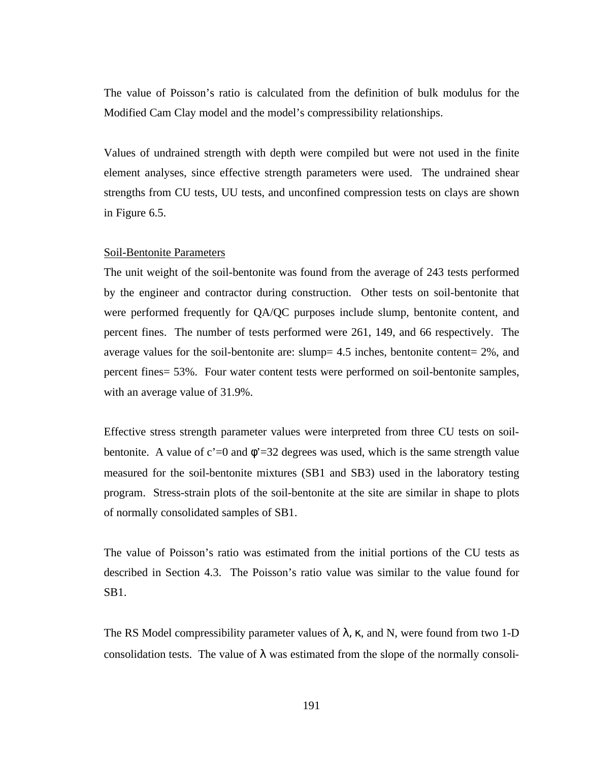The value of Poisson's ratio is calculated from the definition of bulk modulus for the Modified Cam Clay model and the model's compressibility relationships.

Values of undrained strength with depth were compiled but were not used in the finite element analyses, since effective strength parameters were used. The undrained shear strengths from CU tests, UU tests, and unconfined compression tests on clays are shown in Figure 6.5.

### Soil-Bentonite Parameters

The unit weight of the soil-bentonite was found from the average of 243 tests performed by the engineer and contractor during construction. Other tests on soil-bentonite that were performed frequently for QA/QC purposes include slump, bentonite content, and percent fines. The number of tests performed were 261, 149, and 66 respectively. The average values for the soil-bentonite are: slump= 4.5 inches, bentonite content= 2%, and percent fines= 53%. Four water content tests were performed on soil-bentonite samples, with an average value of 31.9%.

Effective stress strength parameter values were interpreted from three CU tests on soilbentonite. A value of  $c' = 0$  and  $\phi' = 32$  degrees was used, which is the same strength value measured for the soil-bentonite mixtures (SB1 and SB3) used in the laboratory testing program. Stress-strain plots of the soil-bentonite at the site are similar in shape to plots of normally consolidated samples of SB1.

The value of Poisson's ratio was estimated from the initial portions of the CU tests as described in Section 4.3. The Poisson's ratio value was similar to the value found for SB1.

The RS Model compressibility parameter values of  $\lambda$ ,  $\kappa$ , and N, were found from two 1-D consolidation tests. The value of  $\lambda$  was estimated from the slope of the normally consoli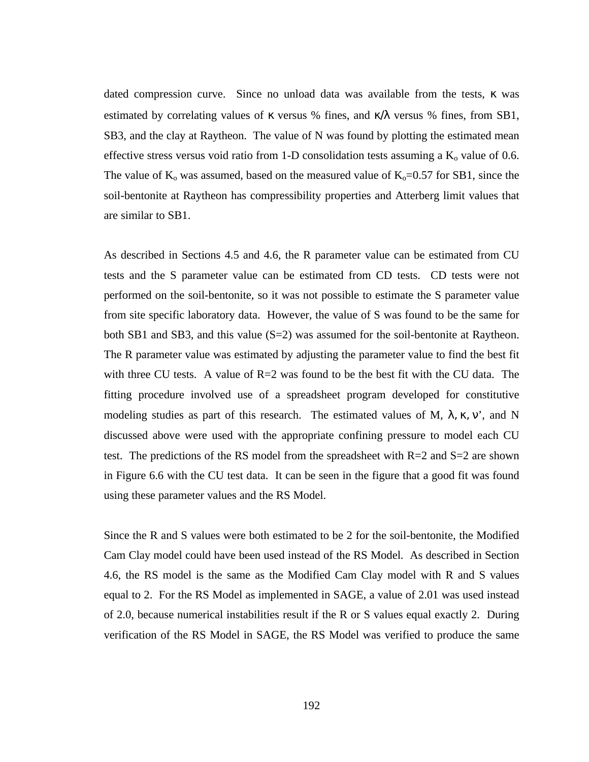dated compression curve. Since no unload data was available from the tests, κ was estimated by correlating values of  $\kappa$  versus % fines, and  $\kappa/\lambda$  versus % fines, from SB1, SB3, and the clay at Raytheon. The value of N was found by plotting the estimated mean effective stress versus void ratio from 1-D consolidation tests assuming a  $K_0$  value of 0.6. The value of  $K_0$  was assumed, based on the measured value of  $K_0=0.57$  for SB1, since the soil-bentonite at Raytheon has compressibility properties and Atterberg limit values that are similar to SB1.

As described in Sections 4.5 and 4.6, the R parameter value can be estimated from CU tests and the S parameter value can be estimated from CD tests. CD tests were not performed on the soil-bentonite, so it was not possible to estimate the S parameter value from site specific laboratory data. However, the value of S was found to be the same for both SB1 and SB3, and this value  $(S=2)$  was assumed for the soil-bentonite at Raytheon. The R parameter value was estimated by adjusting the parameter value to find the best fit with three CU tests. A value of R=2 was found to be the best fit with the CU data. The fitting procedure involved use of a spreadsheet program developed for constitutive modeling studies as part of this research. The estimated values of M,  $\lambda$ ,  $\kappa$ ,  $\nu$ ', and N discussed above were used with the appropriate confining pressure to model each CU test. The predictions of the RS model from the spreadsheet with  $R=2$  and  $S=2$  are shown in Figure 6.6 with the CU test data. It can be seen in the figure that a good fit was found using these parameter values and the RS Model.

Since the R and S values were both estimated to be 2 for the soil-bentonite, the Modified Cam Clay model could have been used instead of the RS Model. As described in Section 4.6, the RS model is the same as the Modified Cam Clay model with R and S values equal to 2. For the RS Model as implemented in SAGE, a value of 2.01 was used instead of 2.0, because numerical instabilities result if the R or S values equal exactly 2. During verification of the RS Model in SAGE, the RS Model was verified to produce the same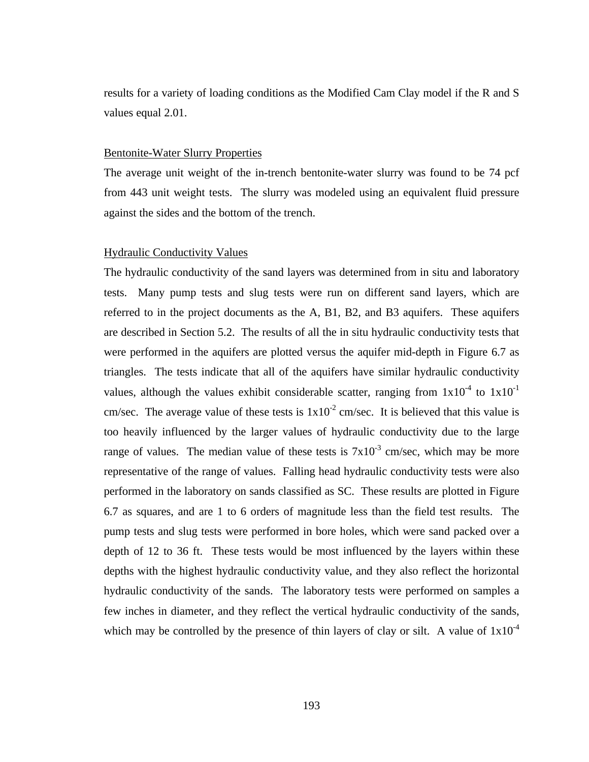results for a variety of loading conditions as the Modified Cam Clay model if the R and S values equal 2.01.

### Bentonite-Water Slurry Properties

The average unit weight of the in-trench bentonite-water slurry was found to be 74 pcf from 443 unit weight tests. The slurry was modeled using an equivalent fluid pressure against the sides and the bottom of the trench.

#### Hydraulic Conductivity Values

The hydraulic conductivity of the sand layers was determined from in situ and laboratory tests. Many pump tests and slug tests were run on different sand layers, which are referred to in the project documents as the A, B1, B2, and B3 aquifers. These aquifers are described in Section 5.2. The results of all the in situ hydraulic conductivity tests that were performed in the aquifers are plotted versus the aquifer mid-depth in Figure 6.7 as triangles. The tests indicate that all of the aquifers have similar hydraulic conductivity values, although the values exhibit considerable scatter, ranging from  $1x10^{-4}$  to  $1x10^{-1}$ cm/sec. The average value of these tests is  $1x10^{-2}$  cm/sec. It is believed that this value is too heavily influenced by the larger values of hydraulic conductivity due to the large range of values. The median value of these tests is  $7x10^{-3}$  cm/sec, which may be more representative of the range of values. Falling head hydraulic conductivity tests were also performed in the laboratory on sands classified as SC. These results are plotted in Figure 6.7 as squares, and are 1 to 6 orders of magnitude less than the field test results. The pump tests and slug tests were performed in bore holes, which were sand packed over a depth of 12 to 36 ft. These tests would be most influenced by the layers within these depths with the highest hydraulic conductivity value, and they also reflect the horizontal hydraulic conductivity of the sands. The laboratory tests were performed on samples a few inches in diameter, and they reflect the vertical hydraulic conductivity of the sands, which may be controlled by the presence of thin layers of clay or silt. A value of  $1x10^{-4}$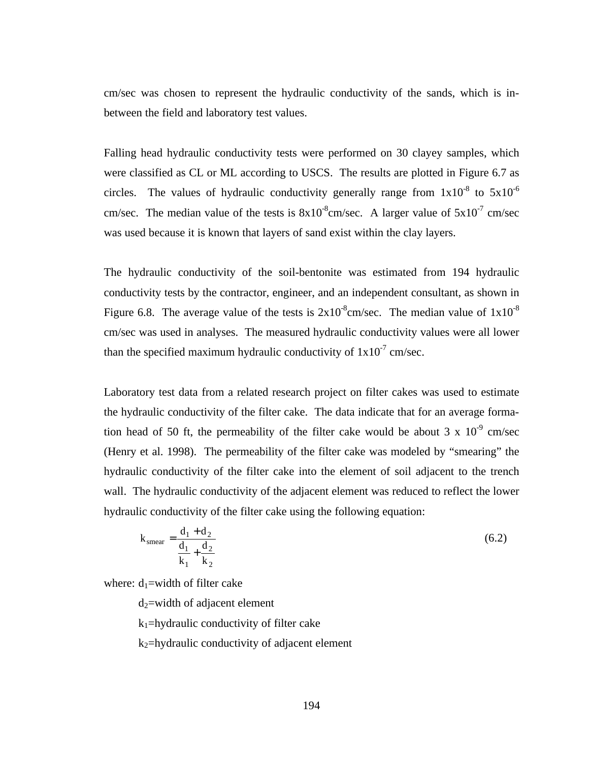cm/sec was chosen to represent the hydraulic conductivity of the sands, which is inbetween the field and laboratory test values.

Falling head hydraulic conductivity tests were performed on 30 clayey samples, which were classified as CL or ML according to USCS. The results are plotted in Figure 6.7 as circles. The values of hydraulic conductivity generally range from  $1x10^{-8}$  to  $5x10^{-6}$ cm/sec. The median value of the tests is  $8x10^{-8}$ cm/sec. A larger value of  $5x10^{-7}$  cm/sec was used because it is known that layers of sand exist within the clay layers.

The hydraulic conductivity of the soil-bentonite was estimated from 194 hydraulic conductivity tests by the contractor, engineer, and an independent consultant, as shown in Figure 6.8. The average value of the tests is  $2x10^{-8}$ cm/sec. The median value of  $1x10^{-8}$ cm/sec was used in analyses. The measured hydraulic conductivity values were all lower than the specified maximum hydraulic conductivity of  $1x10^{-7}$  cm/sec.

Laboratory test data from a related research project on filter cakes was used to estimate the hydraulic conductivity of the filter cake. The data indicate that for an average formation head of 50 ft, the permeability of the filter cake would be about 3 x  $10^{-9}$  cm/sec (Henry et al. 1998). The permeability of the filter cake was modeled by "smearing" the hydraulic conductivity of the filter cake into the element of soil adjacent to the trench wall. The hydraulic conductivity of the adjacent element was reduced to reflect the lower hydraulic conductivity of the filter cake using the following equation:

$$
k_{\text{smear}} = \frac{d_1 + d_2}{\frac{d_1}{k_1} + \frac{d_2}{k_2}}
$$
 (6.2)

where:  $d_1$ =width of filter cake

 $d_2$ =width of adjacent element

 $k_1$ =hydraulic conductivity of filter cake

 $k_2$ =hydraulic conductivity of adjacent element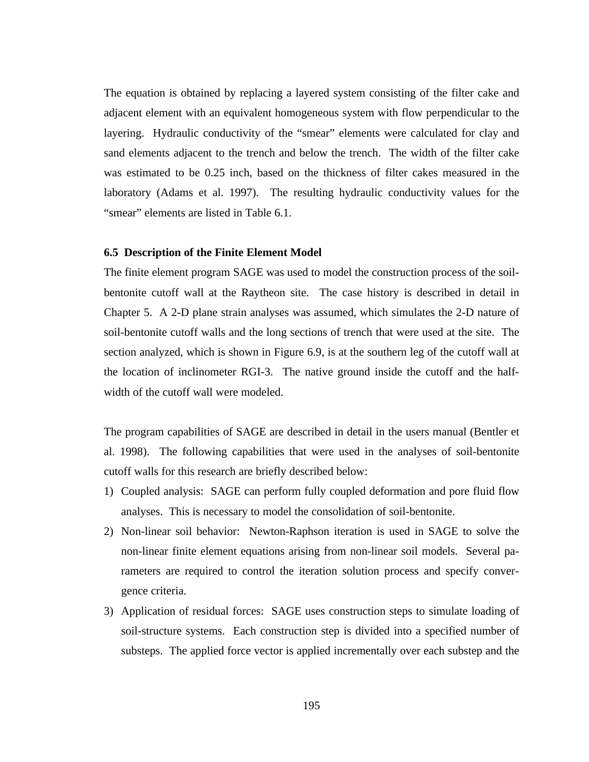The equation is obtained by replacing a layered system consisting of the filter cake and adjacent element with an equivalent homogeneous system with flow perpendicular to the layering. Hydraulic conductivity of the "smear" elements were calculated for clay and sand elements adjacent to the trench and below the trench. The width of the filter cake was estimated to be 0.25 inch, based on the thickness of filter cakes measured in the laboratory (Adams et al. 1997). The resulting hydraulic conductivity values for the "smear" elements are listed in Table 6.1.

# **6.5 Description of the Finite Element Model**

The finite element program SAGE was used to model the construction process of the soilbentonite cutoff wall at the Raytheon site. The case history is described in detail in Chapter 5. A 2-D plane strain analyses was assumed, which simulates the 2-D nature of soil-bentonite cutoff walls and the long sections of trench that were used at the site. The section analyzed, which is shown in Figure 6.9, is at the southern leg of the cutoff wall at the location of inclinometer RGI-3. The native ground inside the cutoff and the halfwidth of the cutoff wall were modeled.

The program capabilities of SAGE are described in detail in the users manual (Bentler et al. 1998). The following capabilities that were used in the analyses of soil-bentonite cutoff walls for this research are briefly described below:

- 1) Coupled analysis: SAGE can perform fully coupled deformation and pore fluid flow analyses. This is necessary to model the consolidation of soil-bentonite.
- 2) Non-linear soil behavior: Newton-Raphson iteration is used in SAGE to solve the non-linear finite element equations arising from non-linear soil models. Several parameters are required to control the iteration solution process and specify convergence criteria.
- 3) Application of residual forces: SAGE uses construction steps to simulate loading of soil-structure systems. Each construction step is divided into a specified number of substeps. The applied force vector is applied incrementally over each substep and the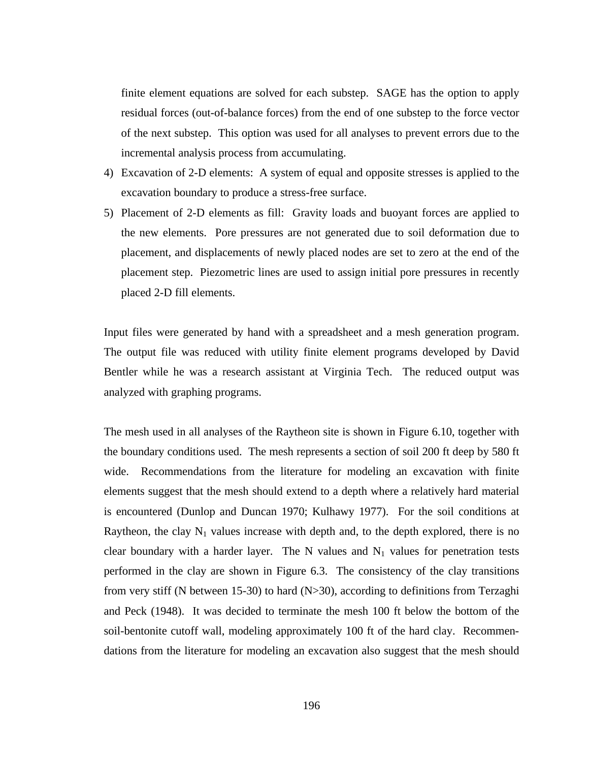finite element equations are solved for each substep. SAGE has the option to apply residual forces (out-of-balance forces) from the end of one substep to the force vector of the next substep. This option was used for all analyses to prevent errors due to the incremental analysis process from accumulating.

- 4) Excavation of 2-D elements: A system of equal and opposite stresses is applied to the excavation boundary to produce a stress-free surface.
- 5) Placement of 2-D elements as fill: Gravity loads and buoyant forces are applied to the new elements. Pore pressures are not generated due to soil deformation due to placement, and displacements of newly placed nodes are set to zero at the end of the placement step. Piezometric lines are used to assign initial pore pressures in recently placed 2-D fill elements.

Input files were generated by hand with a spreadsheet and a mesh generation program. The output file was reduced with utility finite element programs developed by David Bentler while he was a research assistant at Virginia Tech. The reduced output was analyzed with graphing programs.

The mesh used in all analyses of the Raytheon site is shown in Figure 6.10, together with the boundary conditions used. The mesh represents a section of soil 200 ft deep by 580 ft wide. Recommendations from the literature for modeling an excavation with finite elements suggest that the mesh should extend to a depth where a relatively hard material is encountered (Dunlop and Duncan 1970; Kulhawy 1977). For the soil conditions at Raytheon, the clay  $N_1$  values increase with depth and, to the depth explored, there is no clear boundary with a harder layer. The N values and  $N_1$  values for penetration tests performed in the clay are shown in Figure 6.3. The consistency of the clay transitions from very stiff (N between 15-30) to hard (N>30), according to definitions from Terzaghi and Peck (1948). It was decided to terminate the mesh 100 ft below the bottom of the soil-bentonite cutoff wall, modeling approximately 100 ft of the hard clay. Recommendations from the literature for modeling an excavation also suggest that the mesh should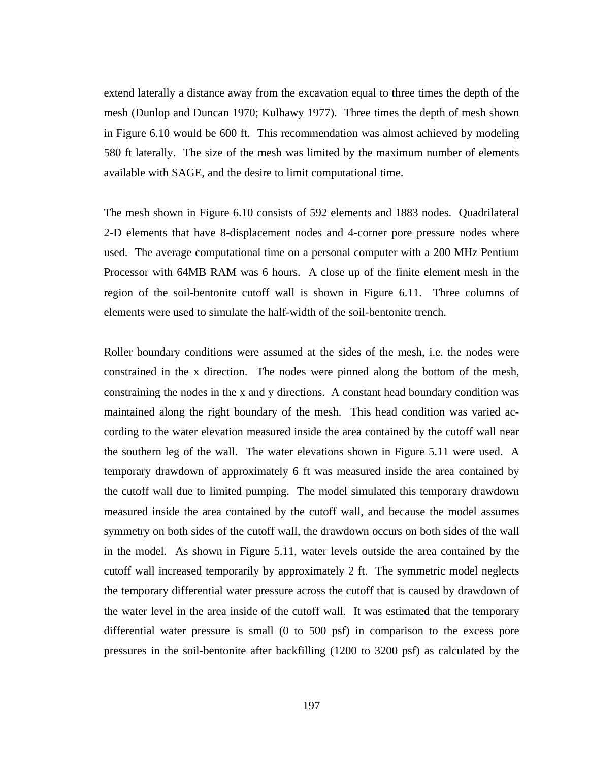extend laterally a distance away from the excavation equal to three times the depth of the mesh (Dunlop and Duncan 1970; Kulhawy 1977). Three times the depth of mesh shown in Figure 6.10 would be 600 ft. This recommendation was almost achieved by modeling 580 ft laterally. The size of the mesh was limited by the maximum number of elements available with SAGE, and the desire to limit computational time.

The mesh shown in Figure 6.10 consists of 592 elements and 1883 nodes. Quadrilateral 2-D elements that have 8-displacement nodes and 4-corner pore pressure nodes where used. The average computational time on a personal computer with a 200 MHz Pentium Processor with 64MB RAM was 6 hours. A close up of the finite element mesh in the region of the soil-bentonite cutoff wall is shown in Figure 6.11. Three columns of elements were used to simulate the half-width of the soil-bentonite trench.

Roller boundary conditions were assumed at the sides of the mesh, i.e. the nodes were constrained in the x direction. The nodes were pinned along the bottom of the mesh, constraining the nodes in the x and y directions. A constant head boundary condition was maintained along the right boundary of the mesh. This head condition was varied according to the water elevation measured inside the area contained by the cutoff wall near the southern leg of the wall. The water elevations shown in Figure 5.11 were used. A temporary drawdown of approximately 6 ft was measured inside the area contained by the cutoff wall due to limited pumping. The model simulated this temporary drawdown measured inside the area contained by the cutoff wall, and because the model assumes symmetry on both sides of the cutoff wall, the drawdown occurs on both sides of the wall in the model. As shown in Figure 5.11, water levels outside the area contained by the cutoff wall increased temporarily by approximately 2 ft. The symmetric model neglects the temporary differential water pressure across the cutoff that is caused by drawdown of the water level in the area inside of the cutoff wall. It was estimated that the temporary differential water pressure is small (0 to 500 psf) in comparison to the excess pore pressures in the soil-bentonite after backfilling (1200 to 3200 psf) as calculated by the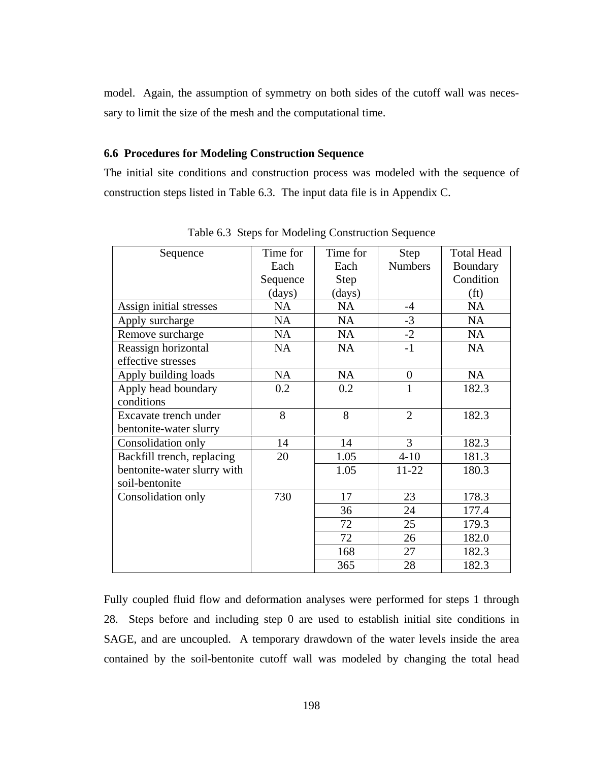model. Again, the assumption of symmetry on both sides of the cutoff wall was necessary to limit the size of the mesh and the computational time.

# **6.6 Procedures for Modeling Construction Sequence**

The initial site conditions and construction process was modeled with the sequence of construction steps listed in Table 6.3. The input data file is in Appendix C.

| Sequence                    | Time for  | Time for    | <b>Step</b>      | <b>Total Head</b> |
|-----------------------------|-----------|-------------|------------------|-------------------|
|                             | Each      | Each        | <b>Numbers</b>   | Boundary          |
|                             | Sequence  | <b>Step</b> |                  | Condition         |
|                             | (days)    | (days)      |                  | (f <sub>t</sub> ) |
| Assign initial stresses     | <b>NA</b> | <b>NA</b>   | $-4$             | <b>NA</b>         |
| Apply surcharge             | <b>NA</b> | <b>NA</b>   | $-3$             | <b>NA</b>         |
| Remove surcharge            | <b>NA</b> | <b>NA</b>   | $-2$             | <b>NA</b>         |
| Reassign horizontal         | <b>NA</b> | <b>NA</b>   | $-1$             | <b>NA</b>         |
| effective stresses          |           |             |                  |                   |
| Apply building loads        | <b>NA</b> | <b>NA</b>   | $\boldsymbol{0}$ | <b>NA</b>         |
| Apply head boundary         | 0.2       | 0.2         | $\mathbf{1}$     | 182.3             |
| conditions                  |           |             |                  |                   |
| Excavate trench under       | 8         | 8           | $\overline{2}$   | 182.3             |
| bentonite-water slurry      |           |             |                  |                   |
| Consolidation only          | 14        | 14          | 3                | 182.3             |
| Backfill trench, replacing  | 20        | 1.05        | $4 - 10$         | 181.3             |
| bentonite-water slurry with |           | 1.05        | 11-22            | 180.3             |
| soil-bentonite              |           |             |                  |                   |
| Consolidation only          | 730       | 17          | 23               | 178.3             |
|                             |           | 36          | 24               | 177.4             |
|                             |           | 72          | 25               | 179.3             |
|                             |           | 72          | 26               | 182.0             |
|                             |           | 168         | 27               | 182.3             |
|                             |           | 365         | 28               | 182.3             |

Table 6.3 Steps for Modeling Construction Sequence

Fully coupled fluid flow and deformation analyses were performed for steps 1 through 28. Steps before and including step 0 are used to establish initial site conditions in SAGE, and are uncoupled. A temporary drawdown of the water levels inside the area contained by the soil-bentonite cutoff wall was modeled by changing the total head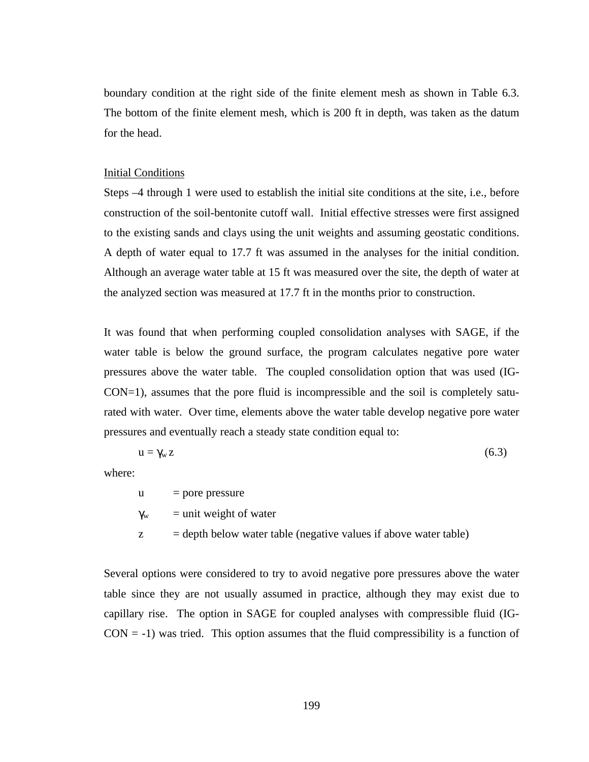boundary condition at the right side of the finite element mesh as shown in Table 6.3. The bottom of the finite element mesh, which is 200 ft in depth, was taken as the datum for the head.

#### Initial Conditions

Steps –4 through 1 were used to establish the initial site conditions at the site, i.e., before construction of the soil-bentonite cutoff wall. Initial effective stresses were first assigned to the existing sands and clays using the unit weights and assuming geostatic conditions. A depth of water equal to 17.7 ft was assumed in the analyses for the initial condition. Although an average water table at 15 ft was measured over the site, the depth of water at the analyzed section was measured at 17.7 ft in the months prior to construction.

It was found that when performing coupled consolidation analyses with SAGE, if the water table is below the ground surface, the program calculates negative pore water pressures above the water table. The coupled consolidation option that was used (IG-CON=1), assumes that the pore fluid is incompressible and the soil is completely saturated with water. Over time, elements above the water table develop negative pore water pressures and eventually reach a steady state condition equal to:

$$
u = \gamma_w z \tag{6.3}
$$

where:

 $u =$  pore pressure

$$
\gamma_w
$$
 = unit weight of water

 $z =$  depth below water table (negative values if above water table)

Several options were considered to try to avoid negative pore pressures above the water table since they are not usually assumed in practice, although they may exist due to capillary rise. The option in SAGE for coupled analyses with compressible fluid (IG- $CON = -1$ ) was tried. This option assumes that the fluid compressibility is a function of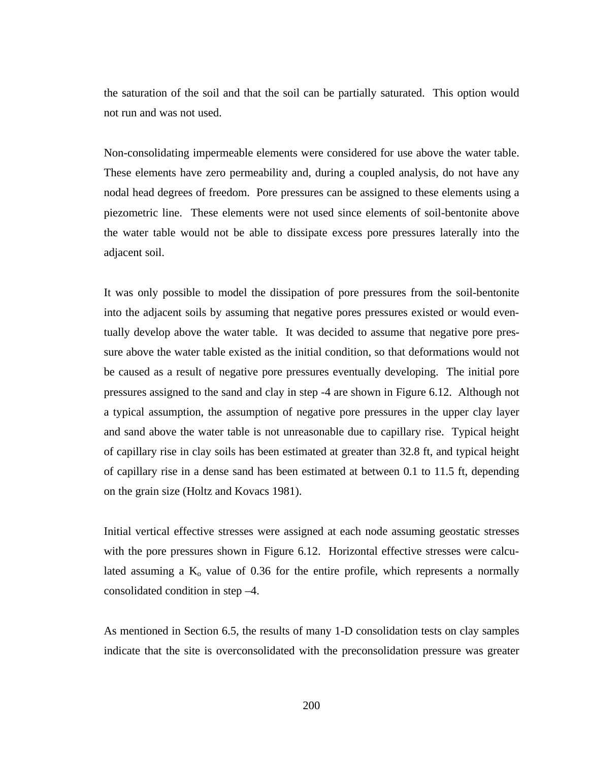the saturation of the soil and that the soil can be partially saturated. This option would not run and was not used.

Non-consolidating impermeable elements were considered for use above the water table. These elements have zero permeability and, during a coupled analysis, do not have any nodal head degrees of freedom. Pore pressures can be assigned to these elements using a piezometric line. These elements were not used since elements of soil-bentonite above the water table would not be able to dissipate excess pore pressures laterally into the adjacent soil.

It was only possible to model the dissipation of pore pressures from the soil-bentonite into the adjacent soils by assuming that negative pores pressures existed or would eventually develop above the water table. It was decided to assume that negative pore pressure above the water table existed as the initial condition, so that deformations would not be caused as a result of negative pore pressures eventually developing. The initial pore pressures assigned to the sand and clay in step -4 are shown in Figure 6.12. Although not a typical assumption, the assumption of negative pore pressures in the upper clay layer and sand above the water table is not unreasonable due to capillary rise. Typical height of capillary rise in clay soils has been estimated at greater than 32.8 ft, and typical height of capillary rise in a dense sand has been estimated at between 0.1 to 11.5 ft, depending on the grain size (Holtz and Kovacs 1981).

Initial vertical effective stresses were assigned at each node assuming geostatic stresses with the pore pressures shown in Figure 6.12. Horizontal effective stresses were calculated assuming a  $K_0$  value of 0.36 for the entire profile, which represents a normally consolidated condition in step –4.

As mentioned in Section 6.5, the results of many 1-D consolidation tests on clay samples indicate that the site is overconsolidated with the preconsolidation pressure was greater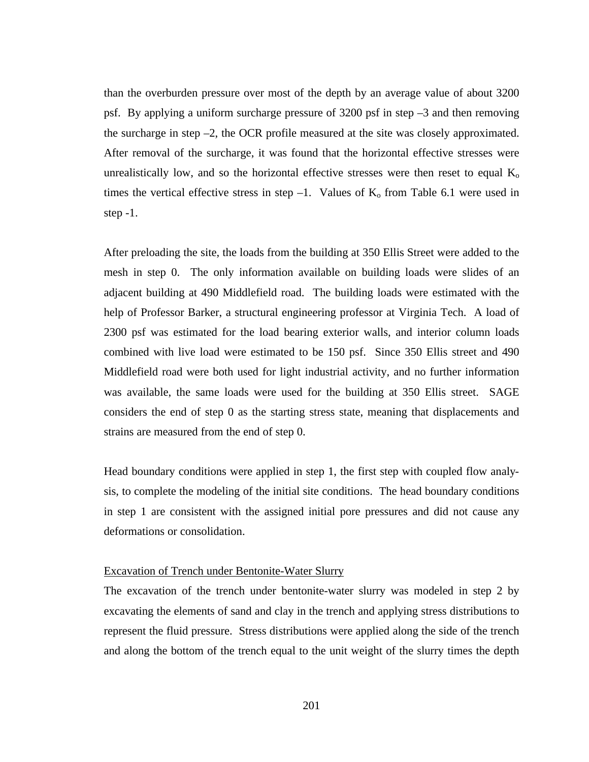than the overburden pressure over most of the depth by an average value of about 3200 psf. By applying a uniform surcharge pressure of 3200 psf in step –3 and then removing the surcharge in step  $-2$ , the OCR profile measured at the site was closely approximated. After removal of the surcharge, it was found that the horizontal effective stresses were unrealistically low, and so the horizontal effective stresses were then reset to equal  $K_0$ times the vertical effective stress in step  $-1$ . Values of  $K_0$  from Table 6.1 were used in step -1.

After preloading the site, the loads from the building at 350 Ellis Street were added to the mesh in step 0. The only information available on building loads were slides of an adjacent building at 490 Middlefield road. The building loads were estimated with the help of Professor Barker, a structural engineering professor at Virginia Tech. A load of 2300 psf was estimated for the load bearing exterior walls, and interior column loads combined with live load were estimated to be 150 psf. Since 350 Ellis street and 490 Middlefield road were both used for light industrial activity, and no further information was available, the same loads were used for the building at 350 Ellis street. SAGE considers the end of step 0 as the starting stress state, meaning that displacements and strains are measured from the end of step 0.

Head boundary conditions were applied in step 1, the first step with coupled flow analysis, to complete the modeling of the initial site conditions. The head boundary conditions in step 1 are consistent with the assigned initial pore pressures and did not cause any deformations or consolidation.

### Excavation of Trench under Bentonite-Water Slurry

The excavation of the trench under bentonite-water slurry was modeled in step 2 by excavating the elements of sand and clay in the trench and applying stress distributions to represent the fluid pressure. Stress distributions were applied along the side of the trench and along the bottom of the trench equal to the unit weight of the slurry times the depth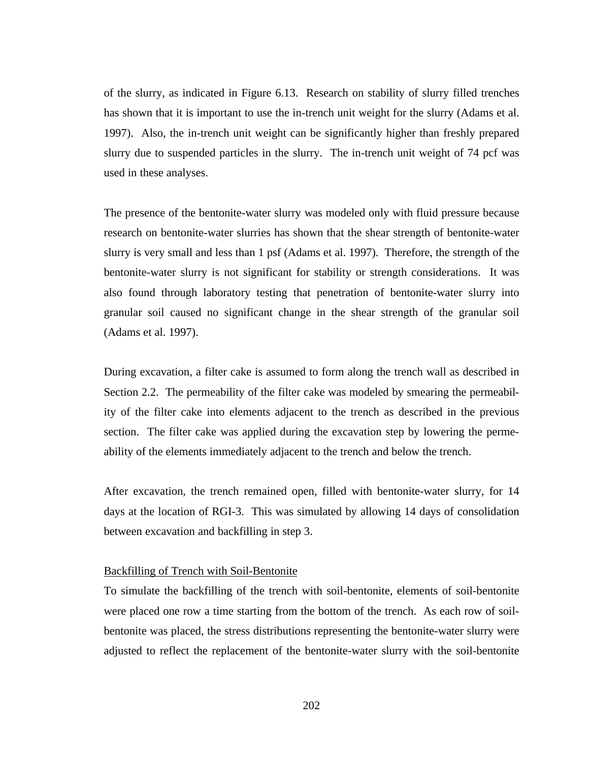of the slurry, as indicated in Figure 6.13. Research on stability of slurry filled trenches has shown that it is important to use the in-trench unit weight for the slurry (Adams et al. 1997). Also, the in-trench unit weight can be significantly higher than freshly prepared slurry due to suspended particles in the slurry. The in-trench unit weight of 74 pcf was used in these analyses.

The presence of the bentonite-water slurry was modeled only with fluid pressure because research on bentonite-water slurries has shown that the shear strength of bentonite-water slurry is very small and less than 1 psf (Adams et al. 1997). Therefore, the strength of the bentonite-water slurry is not significant for stability or strength considerations. It was also found through laboratory testing that penetration of bentonite-water slurry into granular soil caused no significant change in the shear strength of the granular soil (Adams et al. 1997).

During excavation, a filter cake is assumed to form along the trench wall as described in Section 2.2. The permeability of the filter cake was modeled by smearing the permeability of the filter cake into elements adjacent to the trench as described in the previous section. The filter cake was applied during the excavation step by lowering the permeability of the elements immediately adjacent to the trench and below the trench.

After excavation, the trench remained open, filled with bentonite-water slurry, for 14 days at the location of RGI-3. This was simulated by allowing 14 days of consolidation between excavation and backfilling in step 3.

#### Backfilling of Trench with Soil-Bentonite

To simulate the backfilling of the trench with soil-bentonite, elements of soil-bentonite were placed one row a time starting from the bottom of the trench. As each row of soilbentonite was placed, the stress distributions representing the bentonite-water slurry were adjusted to reflect the replacement of the bentonite-water slurry with the soil-bentonite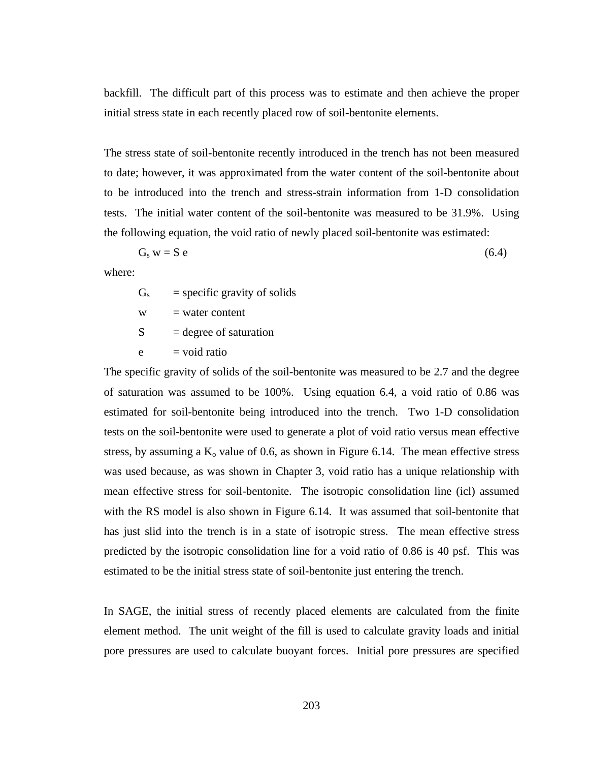backfill. The difficult part of this process was to estimate and then achieve the proper initial stress state in each recently placed row of soil-bentonite elements.

The stress state of soil-bentonite recently introduced in the trench has not been measured to date; however, it was approximated from the water content of the soil-bentonite about to be introduced into the trench and stress-strain information from 1-D consolidation tests. The initial water content of the soil-bentonite was measured to be 31.9%. Using the following equation, the void ratio of newly placed soil-bentonite was estimated:

$$
G_s w = S e
$$
 (6.4)

where:

 $G<sub>s</sub>$  = specific gravity of solids

 $w = water content$ 

 $S = \text{degree of saturation}$ 

 $e = \text{void ratio}$ 

The specific gravity of solids of the soil-bentonite was measured to be 2.7 and the degree of saturation was assumed to be 100%. Using equation 6.4, a void ratio of 0.86 was estimated for soil-bentonite being introduced into the trench. Two 1-D consolidation tests on the soil-bentonite were used to generate a plot of void ratio versus mean effective stress, by assuming a  $K_0$  value of 0.6, as shown in Figure 6.14. The mean effective stress was used because, as was shown in Chapter 3, void ratio has a unique relationship with mean effective stress for soil-bentonite. The isotropic consolidation line (icl) assumed with the RS model is also shown in Figure 6.14. It was assumed that soil-bentonite that has just slid into the trench is in a state of isotropic stress. The mean effective stress predicted by the isotropic consolidation line for a void ratio of 0.86 is 40 psf. This was estimated to be the initial stress state of soil-bentonite just entering the trench.

In SAGE, the initial stress of recently placed elements are calculated from the finite element method. The unit weight of the fill is used to calculate gravity loads and initial pore pressures are used to calculate buoyant forces. Initial pore pressures are specified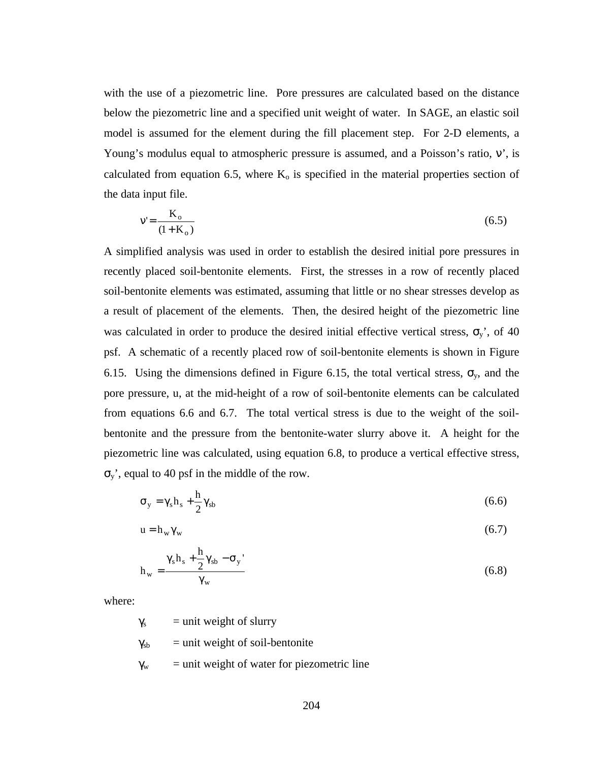with the use of a piezometric line. Pore pressures are calculated based on the distance below the piezometric line and a specified unit weight of water. In SAGE, an elastic soil model is assumed for the element during the fill placement step. For 2-D elements, a Young's modulus equal to atmospheric pressure is assumed, and a Poisson's ratio, ν', is calculated from equation 6.5, where  $K_0$  is specified in the material properties section of the data input file.

$$
v' = \frac{K_o}{(1 + K_o)}
$$
(6.5)

A simplified analysis was used in order to establish the desired initial pore pressures in recently placed soil-bentonite elements. First, the stresses in a row of recently placed soil-bentonite elements was estimated, assuming that little or no shear stresses develop as a result of placement of the elements. Then, the desired height of the piezometric line was calculated in order to produce the desired initial effective vertical stress,  $\sigma_y$ , of 40 psf. A schematic of a recently placed row of soil-bentonite elements is shown in Figure 6.15. Using the dimensions defined in Figure 6.15, the total vertical stress,  $\sigma_y$ , and the pore pressure, u, at the mid-height of a row of soil-bentonite elements can be calculated from equations 6.6 and 6.7. The total vertical stress is due to the weight of the soilbentonite and the pressure from the bentonite-water slurry above it. A height for the piezometric line was calculated, using equation 6.8, to produce a vertical effective stress, σy', equal to 40 psf in the middle of the row.

$$
\sigma_y = \gamma_s h_s + \frac{h}{2} \gamma_{sb} \tag{6.6}
$$

$$
u = h_w \gamma_w \tag{6.7}
$$

$$
h_{w} = \frac{\gamma_{s}h_{s} + \frac{h}{2}\gamma_{sb} - \sigma_{y}}{\gamma_{w}}
$$
 (6.8)

where:

 $\gamma_s$  = unit weight of slurry

- $\gamma_{sb}$  = unit weight of soil-bentonite
- $\gamma_w$  = unit weight of water for piezometric line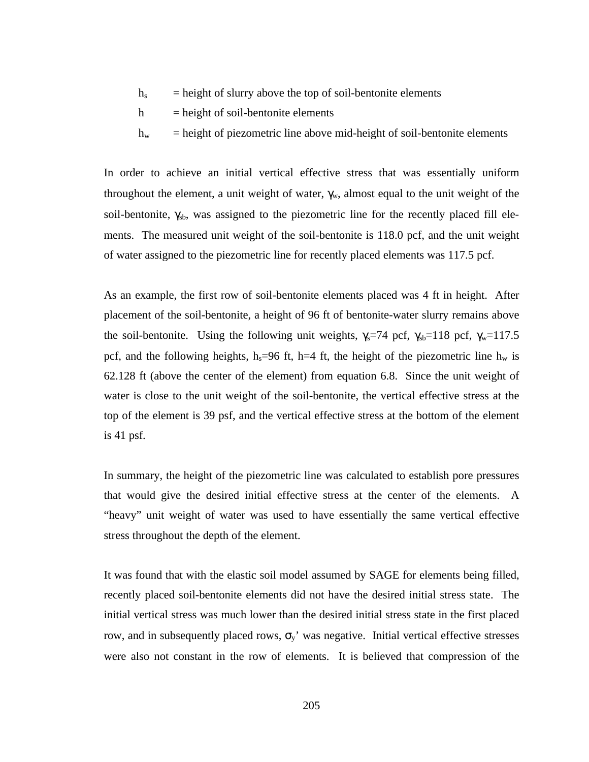- $h<sub>s</sub>$  = height of slurry above the top of soil-bentonite elements
- $h$  = height of soil-bentonite elements
- $h_w$  = height of piezometric line above mid-height of soil-bentonite elements

In order to achieve an initial vertical effective stress that was essentially uniform throughout the element, a unit weight of water,  $\gamma_w$ , almost equal to the unit weight of the soil-bentonite,  $\gamma_{sb}$ , was assigned to the piezometric line for the recently placed fill elements. The measured unit weight of the soil-bentonite is 118.0 pcf, and the unit weight of water assigned to the piezometric line for recently placed elements was 117.5 pcf.

As an example, the first row of soil-bentonite elements placed was 4 ft in height. After placement of the soil-bentonite, a height of 96 ft of bentonite-water slurry remains above the soil-bentonite. Using the following unit weights,  $\gamma_s$ =74 pcf,  $\gamma_{sb}$ =118 pcf,  $\gamma_w$ =117.5 pcf, and the following heights,  $h_s=96$  ft, h=4 ft, the height of the piezometric line  $h_w$  is 62.128 ft (above the center of the element) from equation 6.8. Since the unit weight of water is close to the unit weight of the soil-bentonite, the vertical effective stress at the top of the element is 39 psf, and the vertical effective stress at the bottom of the element is 41 psf.

In summary, the height of the piezometric line was calculated to establish pore pressures that would give the desired initial effective stress at the center of the elements. A "heavy" unit weight of water was used to have essentially the same vertical effective stress throughout the depth of the element.

It was found that with the elastic soil model assumed by SAGE for elements being filled, recently placed soil-bentonite elements did not have the desired initial stress state. The initial vertical stress was much lower than the desired initial stress state in the first placed row, and in subsequently placed rows,  $\sigma_y$ ' was negative. Initial vertical effective stresses were also not constant in the row of elements. It is believed that compression of the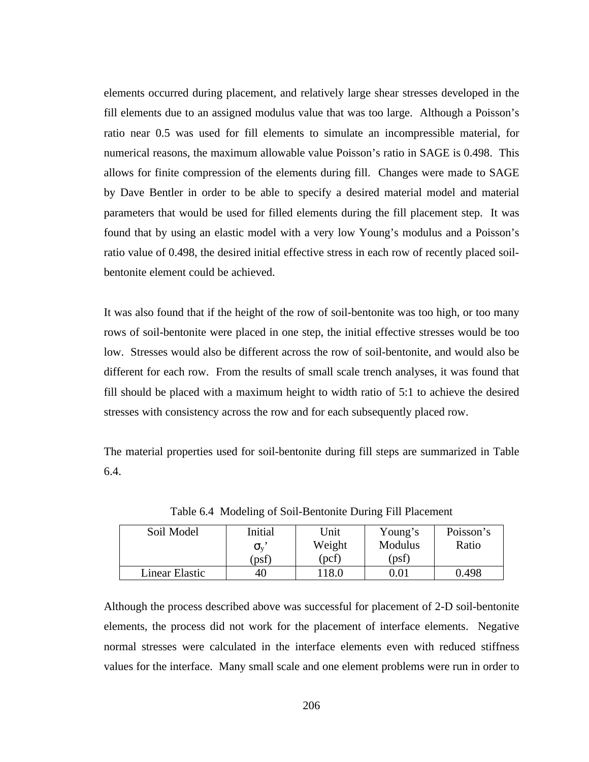elements occurred during placement, and relatively large shear stresses developed in the fill elements due to an assigned modulus value that was too large. Although a Poisson's ratio near 0.5 was used for fill elements to simulate an incompressible material, for numerical reasons, the maximum allowable value Poisson's ratio in SAGE is 0.498. This allows for finite compression of the elements during fill. Changes were made to SAGE by Dave Bentler in order to be able to specify a desired material model and material parameters that would be used for filled elements during the fill placement step. It was found that by using an elastic model with a very low Young's modulus and a Poisson's ratio value of 0.498, the desired initial effective stress in each row of recently placed soilbentonite element could be achieved.

It was also found that if the height of the row of soil-bentonite was too high, or too many rows of soil-bentonite were placed in one step, the initial effective stresses would be too low. Stresses would also be different across the row of soil-bentonite, and would also be different for each row. From the results of small scale trench analyses, it was found that fill should be placed with a maximum height to width ratio of 5:1 to achieve the desired stresses with consistency across the row and for each subsequently placed row.

The material properties used for soil-bentonite during fill steps are summarized in Table 6.4.

| Soil Model     | Initial          | Unit   | Young's    | Poisson's |
|----------------|------------------|--------|------------|-----------|
|                | $\sigma_{\rm v}$ | Weight | Modulus    | Ratio     |
|                | (psf)            | (pcf)  | (psf)      |           |
| Linear Elastic | 40               | 118.0  | $\rm 0.01$ | 0.498     |

Table 6.4 Modeling of Soil-Bentonite During Fill Placement

Although the process described above was successful for placement of 2-D soil-bentonite elements, the process did not work for the placement of interface elements. Negative normal stresses were calculated in the interface elements even with reduced stiffness values for the interface. Many small scale and one element problems were run in order to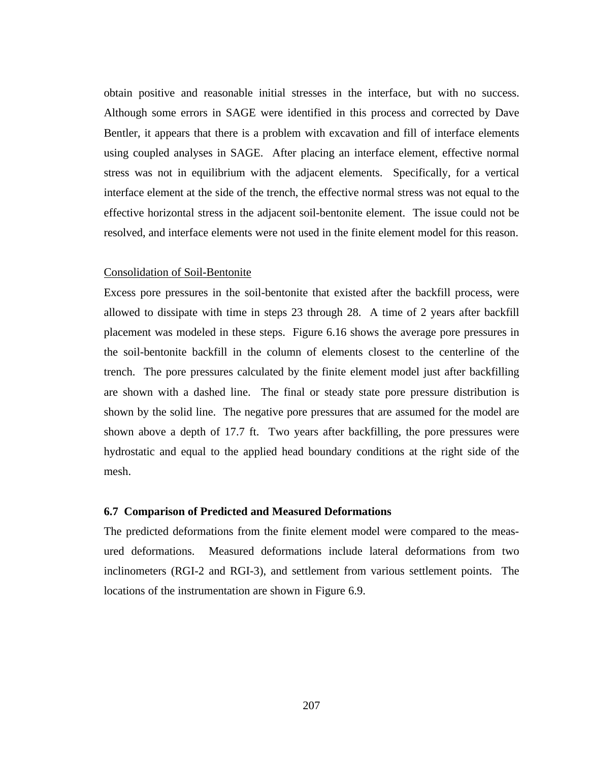obtain positive and reasonable initial stresses in the interface, but with no success. Although some errors in SAGE were identified in this process and corrected by Dave Bentler, it appears that there is a problem with excavation and fill of interface elements using coupled analyses in SAGE. After placing an interface element, effective normal stress was not in equilibrium with the adjacent elements. Specifically, for a vertical interface element at the side of the trench, the effective normal stress was not equal to the effective horizontal stress in the adjacent soil-bentonite element. The issue could not be resolved, and interface elements were not used in the finite element model for this reason.

#### Consolidation of Soil-Bentonite

Excess pore pressures in the soil-bentonite that existed after the backfill process, were allowed to dissipate with time in steps 23 through 28. A time of 2 years after backfill placement was modeled in these steps. Figure 6.16 shows the average pore pressures in the soil-bentonite backfill in the column of elements closest to the centerline of the trench. The pore pressures calculated by the finite element model just after backfilling are shown with a dashed line. The final or steady state pore pressure distribution is shown by the solid line. The negative pore pressures that are assumed for the model are shown above a depth of 17.7 ft. Two years after backfilling, the pore pressures were hydrostatic and equal to the applied head boundary conditions at the right side of the mesh.

#### **6.7 Comparison of Predicted and Measured Deformations**

The predicted deformations from the finite element model were compared to the measured deformations. Measured deformations include lateral deformations from two inclinometers (RGI-2 and RGI-3), and settlement from various settlement points. The locations of the instrumentation are shown in Figure 6.9.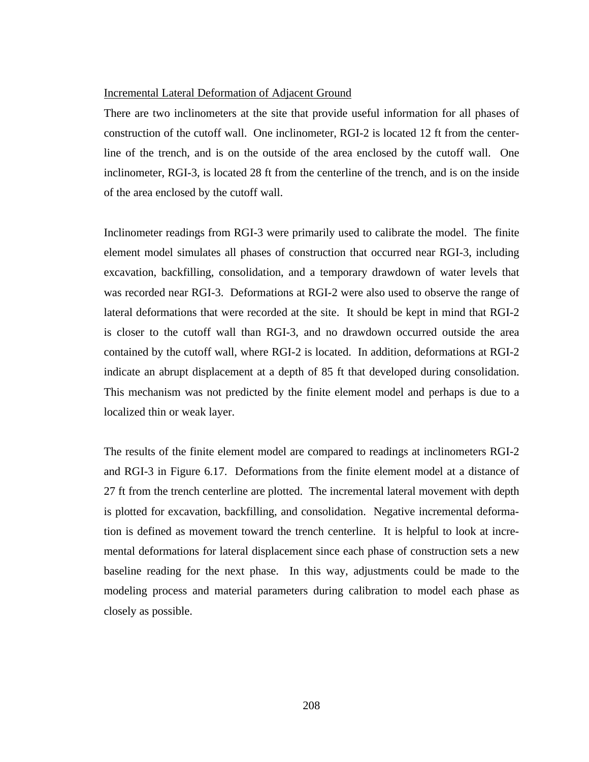### Incremental Lateral Deformation of Adjacent Ground

There are two inclinometers at the site that provide useful information for all phases of construction of the cutoff wall. One inclinometer, RGI-2 is located 12 ft from the centerline of the trench, and is on the outside of the area enclosed by the cutoff wall. One inclinometer, RGI-3, is located 28 ft from the centerline of the trench, and is on the inside of the area enclosed by the cutoff wall.

Inclinometer readings from RGI-3 were primarily used to calibrate the model. The finite element model simulates all phases of construction that occurred near RGI-3, including excavation, backfilling, consolidation, and a temporary drawdown of water levels that was recorded near RGI-3. Deformations at RGI-2 were also used to observe the range of lateral deformations that were recorded at the site. It should be kept in mind that RGI-2 is closer to the cutoff wall than RGI-3, and no drawdown occurred outside the area contained by the cutoff wall, where RGI-2 is located. In addition, deformations at RGI-2 indicate an abrupt displacement at a depth of 85 ft that developed during consolidation. This mechanism was not predicted by the finite element model and perhaps is due to a localized thin or weak layer.

The results of the finite element model are compared to readings at inclinometers RGI-2 and RGI-3 in Figure 6.17. Deformations from the finite element model at a distance of 27 ft from the trench centerline are plotted. The incremental lateral movement with depth is plotted for excavation, backfilling, and consolidation. Negative incremental deformation is defined as movement toward the trench centerline. It is helpful to look at incremental deformations for lateral displacement since each phase of construction sets a new baseline reading for the next phase. In this way, adjustments could be made to the modeling process and material parameters during calibration to model each phase as closely as possible.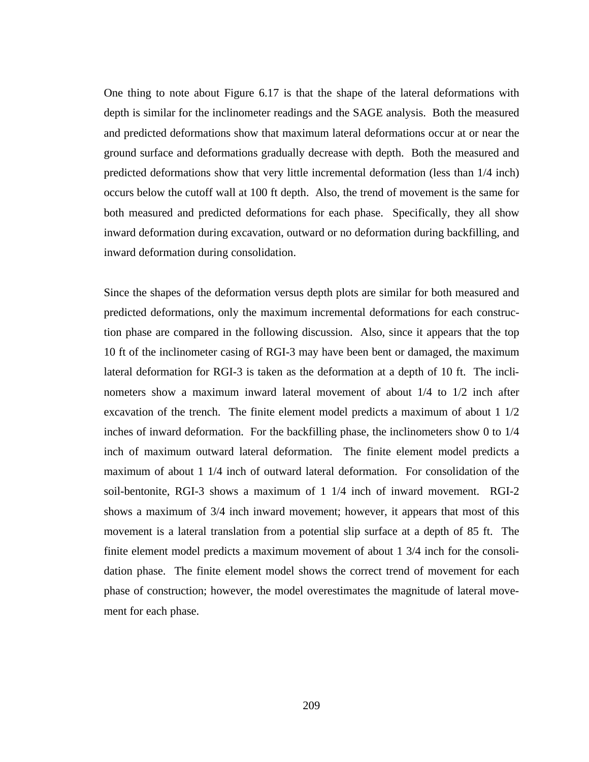One thing to note about Figure 6.17 is that the shape of the lateral deformations with depth is similar for the inclinometer readings and the SAGE analysis. Both the measured and predicted deformations show that maximum lateral deformations occur at or near the ground surface and deformations gradually decrease with depth. Both the measured and predicted deformations show that very little incremental deformation (less than 1/4 inch) occurs below the cutoff wall at 100 ft depth. Also, the trend of movement is the same for both measured and predicted deformations for each phase. Specifically, they all show inward deformation during excavation, outward or no deformation during backfilling, and inward deformation during consolidation.

Since the shapes of the deformation versus depth plots are similar for both measured and predicted deformations, only the maximum incremental deformations for each construction phase are compared in the following discussion. Also, since it appears that the top 10 ft of the inclinometer casing of RGI-3 may have been bent or damaged, the maximum lateral deformation for RGI-3 is taken as the deformation at a depth of 10 ft. The inclinometers show a maximum inward lateral movement of about 1/4 to 1/2 inch after excavation of the trench. The finite element model predicts a maximum of about 1 1/2 inches of inward deformation. For the backfilling phase, the inclinometers show 0 to 1/4 inch of maximum outward lateral deformation. The finite element model predicts a maximum of about 1 1/4 inch of outward lateral deformation. For consolidation of the soil-bentonite, RGI-3 shows a maximum of 1 1/4 inch of inward movement. RGI-2 shows a maximum of 3/4 inch inward movement; however, it appears that most of this movement is a lateral translation from a potential slip surface at a depth of 85 ft. The finite element model predicts a maximum movement of about 1 3/4 inch for the consolidation phase. The finite element model shows the correct trend of movement for each phase of construction; however, the model overestimates the magnitude of lateral movement for each phase.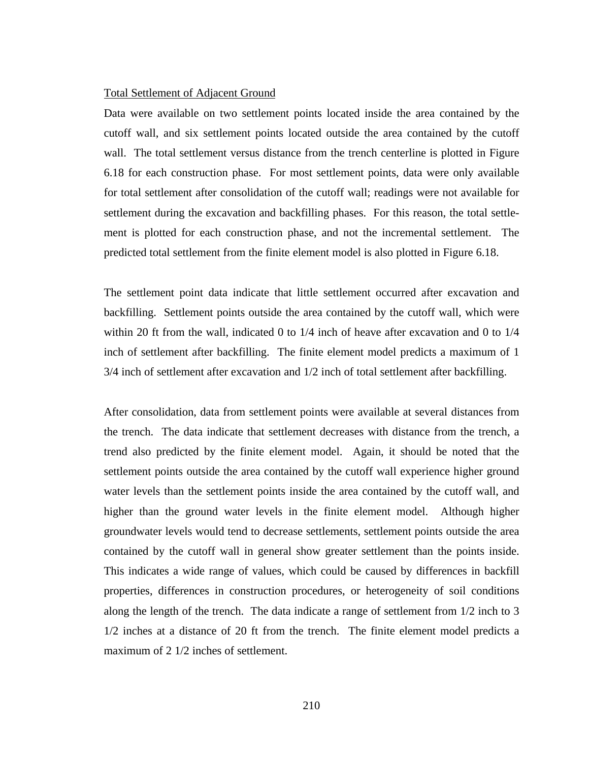#### Total Settlement of Adjacent Ground

Data were available on two settlement points located inside the area contained by the cutoff wall, and six settlement points located outside the area contained by the cutoff wall. The total settlement versus distance from the trench centerline is plotted in Figure 6.18 for each construction phase. For most settlement points, data were only available for total settlement after consolidation of the cutoff wall; readings were not available for settlement during the excavation and backfilling phases. For this reason, the total settlement is plotted for each construction phase, and not the incremental settlement. The predicted total settlement from the finite element model is also plotted in Figure 6.18.

The settlement point data indicate that little settlement occurred after excavation and backfilling. Settlement points outside the area contained by the cutoff wall, which were within 20 ft from the wall, indicated 0 to 1/4 inch of heave after excavation and 0 to 1/4 inch of settlement after backfilling. The finite element model predicts a maximum of 1 3/4 inch of settlement after excavation and 1/2 inch of total settlement after backfilling.

After consolidation, data from settlement points were available at several distances from the trench. The data indicate that settlement decreases with distance from the trench, a trend also predicted by the finite element model. Again, it should be noted that the settlement points outside the area contained by the cutoff wall experience higher ground water levels than the settlement points inside the area contained by the cutoff wall, and higher than the ground water levels in the finite element model. Although higher groundwater levels would tend to decrease settlements, settlement points outside the area contained by the cutoff wall in general show greater settlement than the points inside. This indicates a wide range of values, which could be caused by differences in backfill properties, differences in construction procedures, or heterogeneity of soil conditions along the length of the trench. The data indicate a range of settlement from 1/2 inch to 3 1/2 inches at a distance of 20 ft from the trench. The finite element model predicts a maximum of 2 1/2 inches of settlement.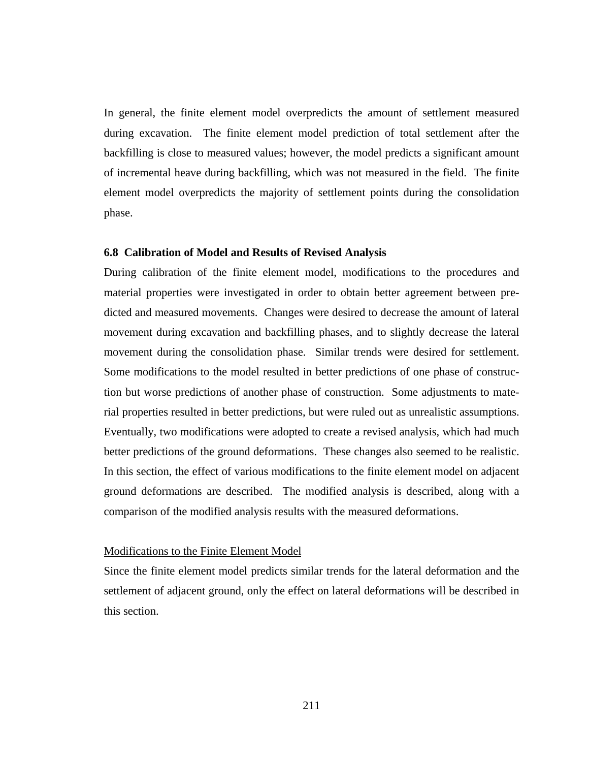In general, the finite element model overpredicts the amount of settlement measured during excavation. The finite element model prediction of total settlement after the backfilling is close to measured values; however, the model predicts a significant amount of incremental heave during backfilling, which was not measured in the field. The finite element model overpredicts the majority of settlement points during the consolidation phase.

# **6.8 Calibration of Model and Results of Revised Analysis**

During calibration of the finite element model, modifications to the procedures and material properties were investigated in order to obtain better agreement between predicted and measured movements. Changes were desired to decrease the amount of lateral movement during excavation and backfilling phases, and to slightly decrease the lateral movement during the consolidation phase. Similar trends were desired for settlement. Some modifications to the model resulted in better predictions of one phase of construction but worse predictions of another phase of construction. Some adjustments to material properties resulted in better predictions, but were ruled out as unrealistic assumptions. Eventually, two modifications were adopted to create a revised analysis, which had much better predictions of the ground deformations. These changes also seemed to be realistic. In this section, the effect of various modifications to the finite element model on adjacent ground deformations are described. The modified analysis is described, along with a comparison of the modified analysis results with the measured deformations.

# Modifications to the Finite Element Model

Since the finite element model predicts similar trends for the lateral deformation and the settlement of adjacent ground, only the effect on lateral deformations will be described in this section.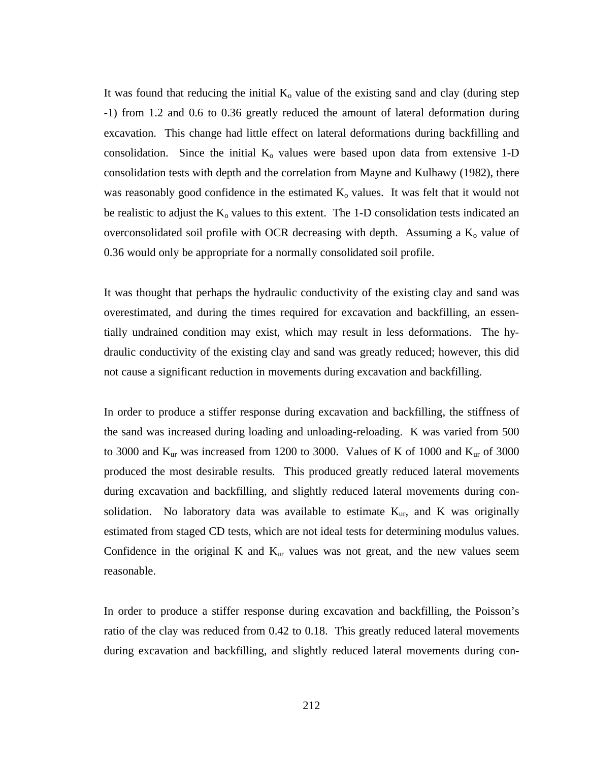It was found that reducing the initial  $K_0$  value of the existing sand and clay (during step -1) from 1.2 and 0.6 to 0.36 greatly reduced the amount of lateral deformation during excavation. This change had little effect on lateral deformations during backfilling and consolidation. Since the initial  $K_0$  values were based upon data from extensive 1-D consolidation tests with depth and the correlation from Mayne and Kulhawy (1982), there was reasonably good confidence in the estimated  $K_0$  values. It was felt that it would not be realistic to adjust the  $K_0$  values to this extent. The 1-D consolidation tests indicated an overconsolidated soil profile with OCR decreasing with depth. Assuming a  $K_0$  value of 0.36 would only be appropriate for a normally consolidated soil profile.

It was thought that perhaps the hydraulic conductivity of the existing clay and sand was overestimated, and during the times required for excavation and backfilling, an essentially undrained condition may exist, which may result in less deformations. The hydraulic conductivity of the existing clay and sand was greatly reduced; however, this did not cause a significant reduction in movements during excavation and backfilling.

In order to produce a stiffer response during excavation and backfilling, the stiffness of the sand was increased during loading and unloading-reloading. K was varied from 500 to 3000 and  $K_{\text{ur}}$  was increased from 1200 to 3000. Values of K of 1000 and  $K_{\text{ur}}$  of 3000 produced the most desirable results. This produced greatly reduced lateral movements during excavation and backfilling, and slightly reduced lateral movements during consolidation. No laboratory data was available to estimate  $K_{\text{ur}}$ , and K was originally estimated from staged CD tests, which are not ideal tests for determining modulus values. Confidence in the original K and  $K_{\text{ur}}$  values was not great, and the new values seem reasonable.

In order to produce a stiffer response during excavation and backfilling, the Poisson's ratio of the clay was reduced from 0.42 to 0.18. This greatly reduced lateral movements during excavation and backfilling, and slightly reduced lateral movements during con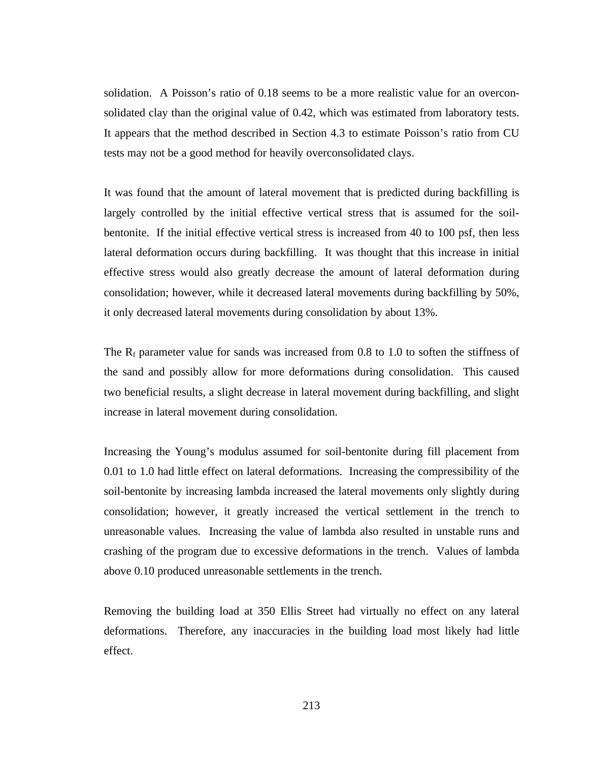solidation. A Poisson's ratio of 0.18 seems to be a more realistic value for an overconsolidated clay than the original value of 0.42, which was estimated from laboratory tests. It appears that the method described in Section 4.3 to estimate Poisson's ratio from CU tests may not be a good method for heavily overconsolidated clays.

It was found that the amount of lateral movement that is predicted during backfilling is largely controlled by the initial effective vertical stress that is assumed for the soilbentonite. If the initial effective vertical stress is increased from 40 to 100 psf, then less lateral deformation occurs during backfilling. It was thought that this increase in initial effective stress would also greatly decrease the amount of lateral deformation during consolidation; however, while it decreased lateral movements during backfilling by 50%, it only decreased lateral movements during consolidation by about 13%.

The  $R_f$  parameter value for sands was increased from 0.8 to 1.0 to soften the stiffness of the sand and possibly allow for more deformations during consolidation. This caused two beneficial results, a slight decrease in lateral movement during backfilling, and slight increase in lateral movement during consolidation.

Increasing the Young's modulus assumed for soil-bentonite during fill placement from 0.01 to 1.0 had little effect on lateral deformations. Increasing the compressibility of the soil-bentonite by increasing lambda increased the lateral movements only slightly during consolidation; however, it greatly increased the vertical settlement in the trench to unreasonable values. Increasing the value of lambda also resulted in unstable runs and crashing of the program due to excessive deformations in the trench. Values of lambda above 0.10 produced unreasonable settlements in the trench.

Removing the building load at 350 Ellis Street had virtually no effect on any lateral deformations. Therefore, any inaccuracies in the building load most likely had little effect.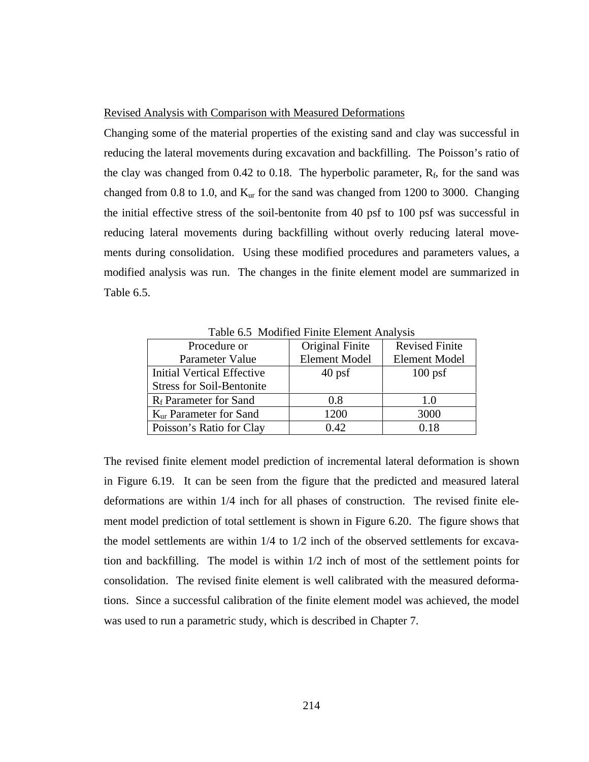### Revised Analysis with Comparison with Measured Deformations

Changing some of the material properties of the existing sand and clay was successful in reducing the lateral movements during excavation and backfilling. The Poisson's ratio of the clay was changed from 0.42 to 0.18. The hyperbolic parameter,  $R_f$ , for the sand was changed from 0.8 to 1.0, and  $K_{ur}$  for the sand was changed from 1200 to 3000. Changing the initial effective stress of the soil-bentonite from 40 psf to 100 psf was successful in reducing lateral movements during backfilling without overly reducing lateral movements during consolidation. Using these modified procedures and parameters values, a modified analysis was run. The changes in the finite element model are summarized in Table 6.5.

| Procedure or                       | Original Finite      | <b>Revised Finite</b> |
|------------------------------------|----------------------|-----------------------|
| Parameter Value                    | <b>Element Model</b> | <b>Element Model</b>  |
| Initial Vertical Effective         | $40$ psf             | $100$ psf             |
| <b>Stress for Soil-Bentonite</b>   |                      |                       |
| R <sub>f</sub> Parameter for Sand  | 0.8                  | 1.0                   |
| K <sub>ur</sub> Parameter for Sand | 1200                 | 3000                  |
| Poisson's Ratio for Clay           | 0.42                 | 0.18                  |

Table 6.5 Modified Finite Element Analysis

The revised finite element model prediction of incremental lateral deformation is shown in Figure 6.19. It can be seen from the figure that the predicted and measured lateral deformations are within 1/4 inch for all phases of construction. The revised finite element model prediction of total settlement is shown in Figure 6.20. The figure shows that the model settlements are within 1/4 to 1/2 inch of the observed settlements for excavation and backfilling. The model is within 1/2 inch of most of the settlement points for consolidation. The revised finite element is well calibrated with the measured deformations. Since a successful calibration of the finite element model was achieved, the model was used to run a parametric study, which is described in Chapter 7.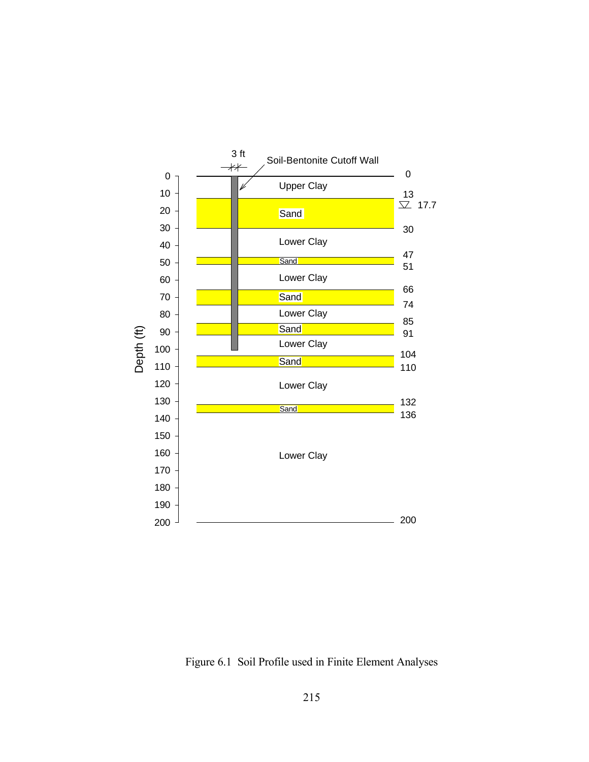

Figure 6.1 Soil Profile used in Finite Element Analyses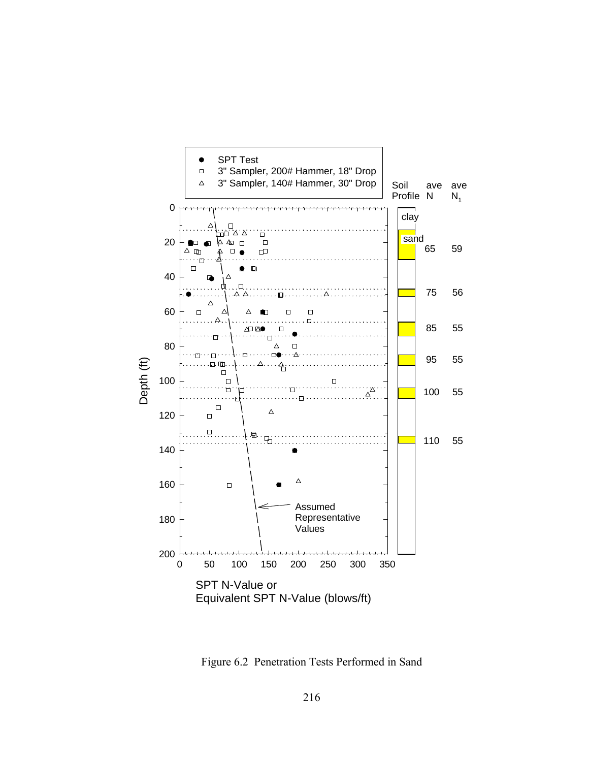

Figure 6.2 Penetration Tests Performed in Sand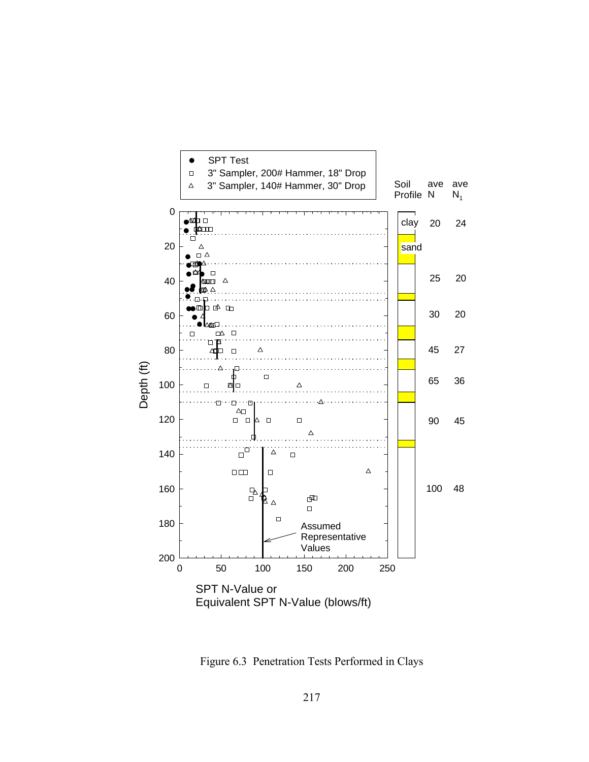

Figure 6.3 Penetration Tests Performed in Clays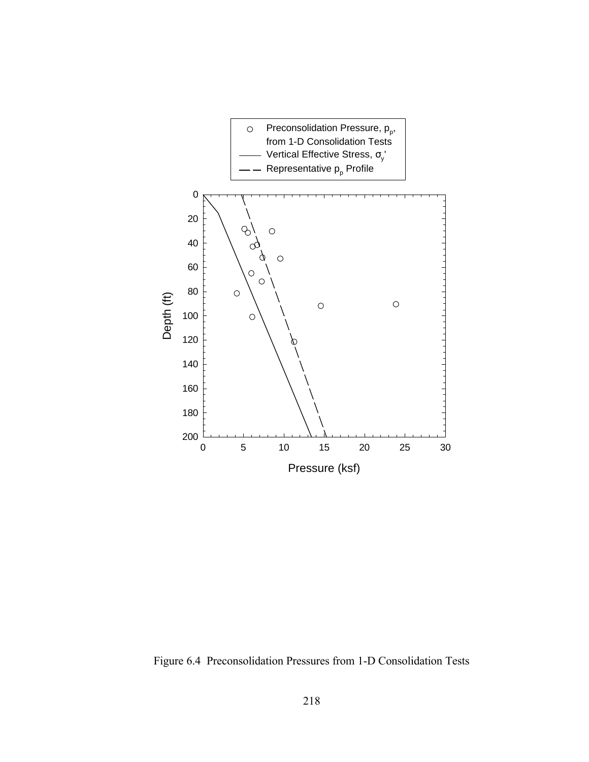

Figure 6.4 Preconsolidation Pressures from 1-D Consolidation Tests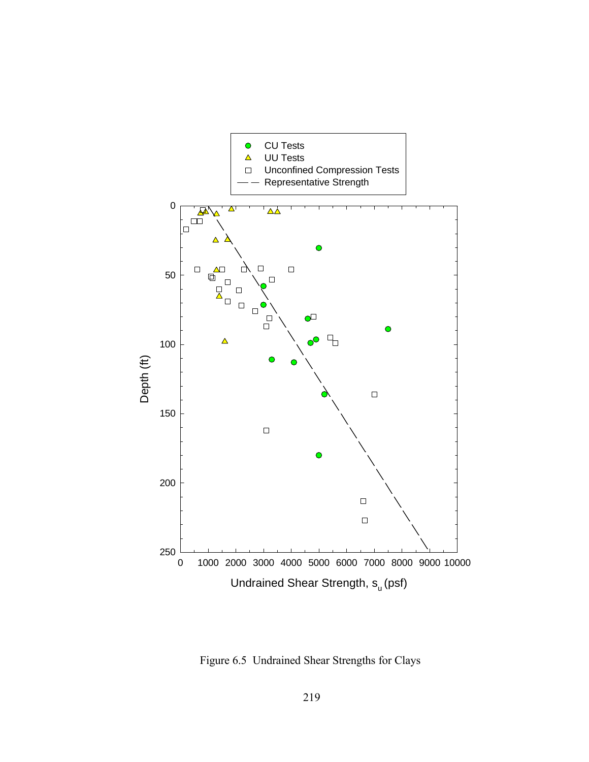

Figure 6.5 Undrained Shear Strengths for Clays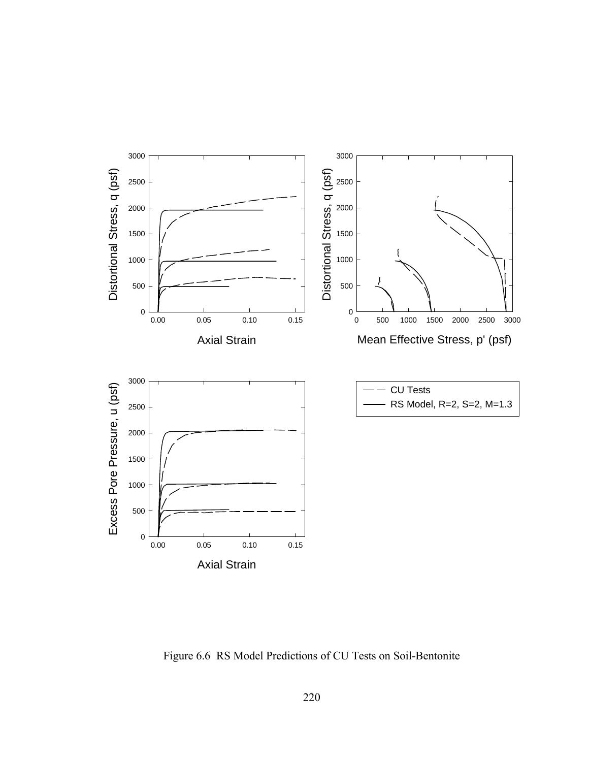

Figure 6.6 RS Model Predictions of CU Tests on Soil-Bentonite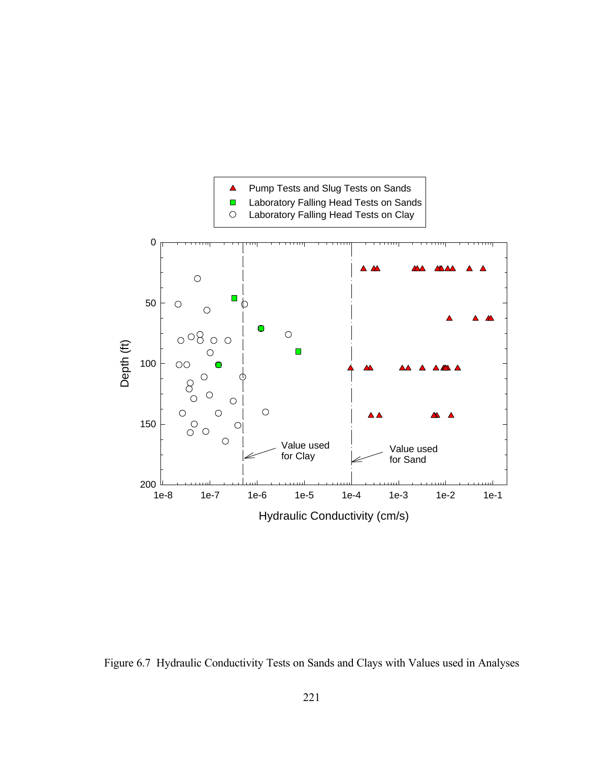

Figure 6.7 Hydraulic Conductivity Tests on Sands and Clays with Values used in Analyses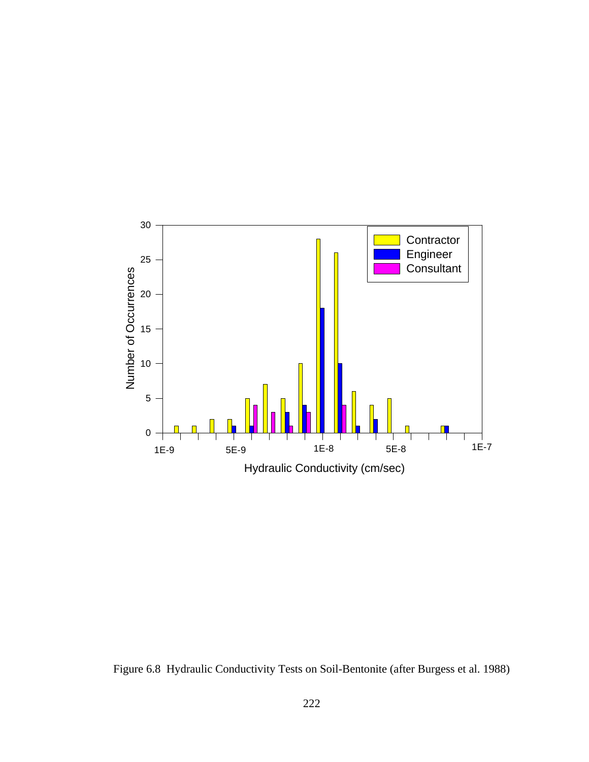

Figure 6.8 Hydraulic Conductivity Tests on Soil-Bentonite (after Burgess et al. 1988)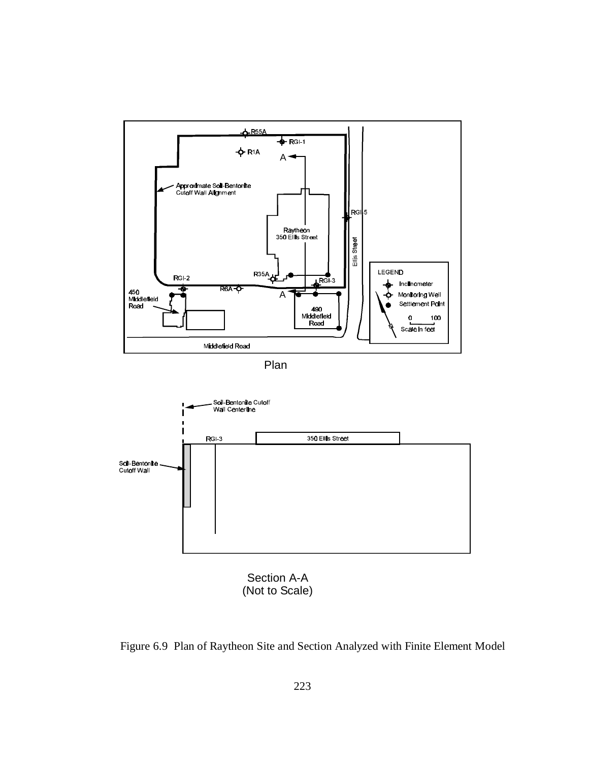

Plan



Section A-A (Not to Scale)

Figure 6.9 Plan of Raytheon Site and Section Analyzed with Finite Element Model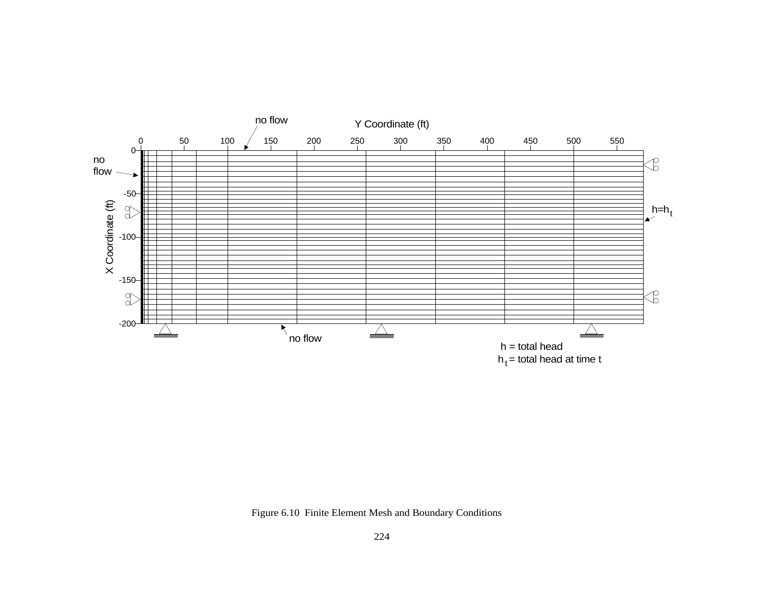

Figure 6.10 Finite Element Mesh and Boundary Conditions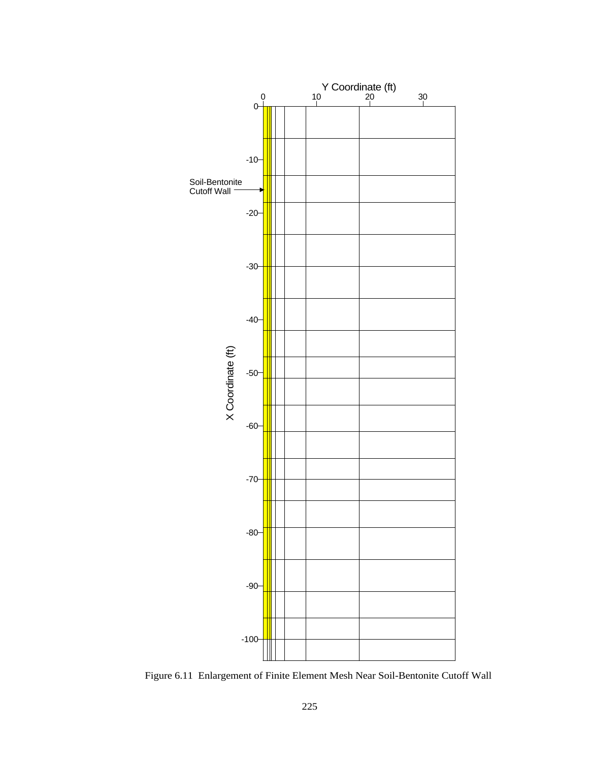

Figure 6.11 Enlargement of Finite Element Mesh Near Soil-Bentonite Cutoff Wall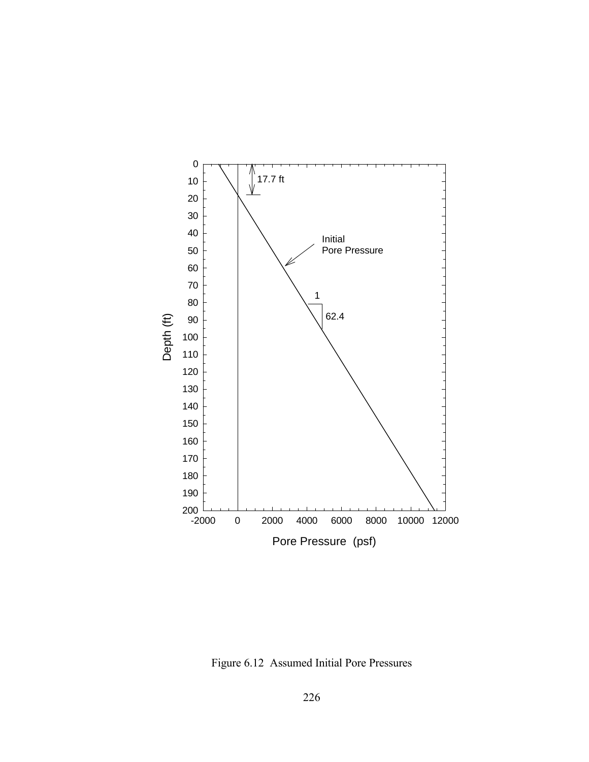

Figure 6.12 Assumed Initial Pore Pressures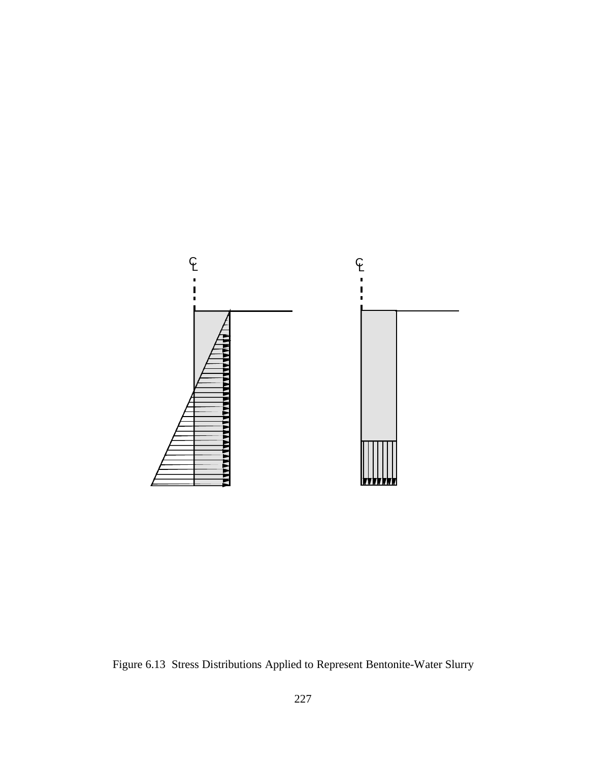

Figure 6.13 Stress Distributions Applied to Represent Bentonite-Water Slurry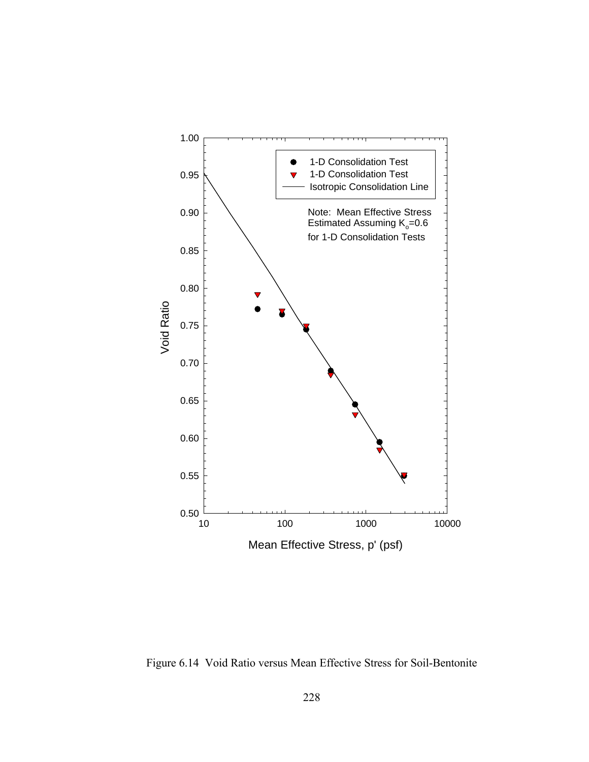

Figure 6.14 Void Ratio versus Mean Effective Stress for Soil-Bentonite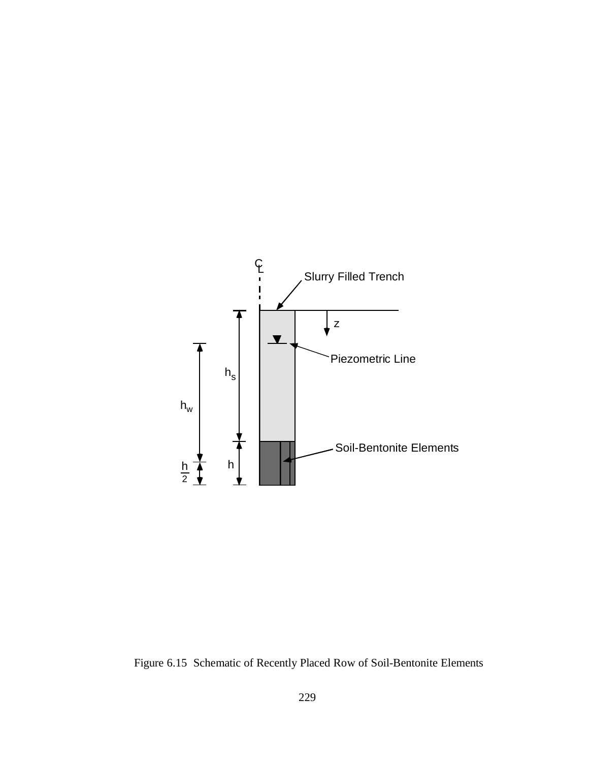

Figure 6.15 Schematic of Recently Placed Row of Soil-Bentonite Elements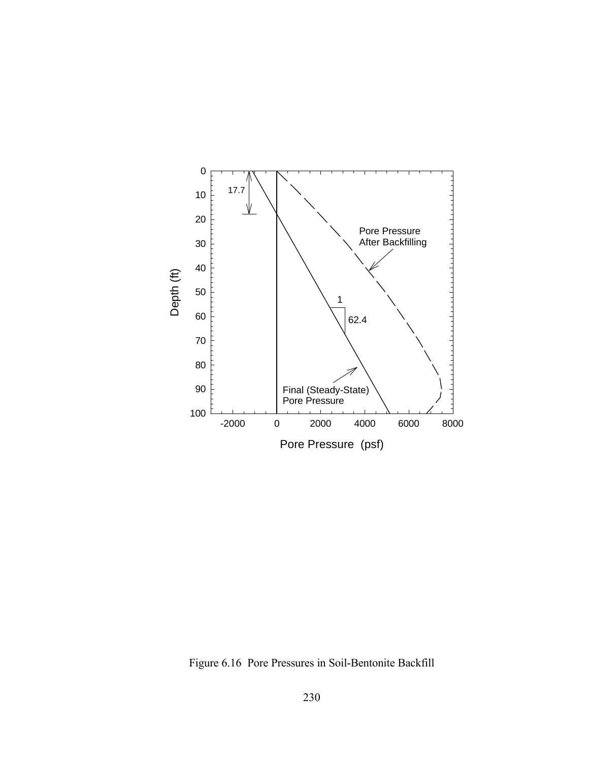

Figure 6.16 Pore Pressures in Soil-Bentonite Backfill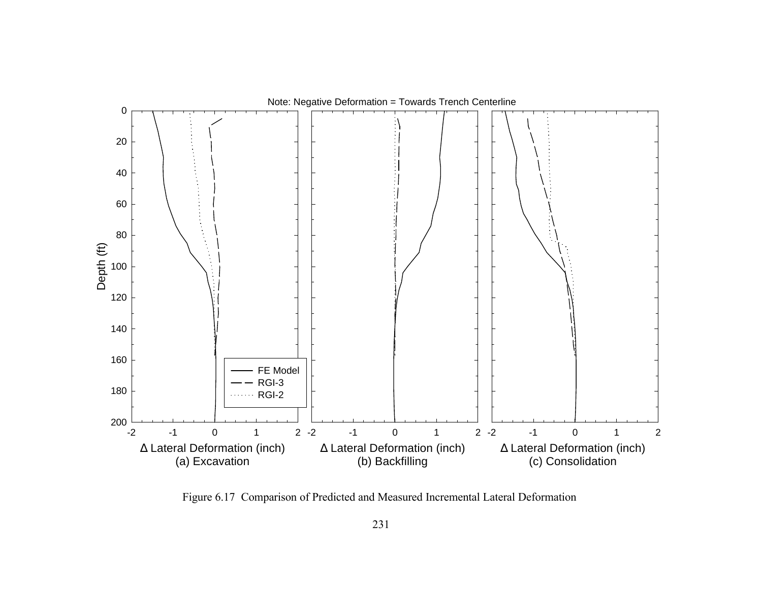

Figure 6.17 Comparison of Predicted and Measured Incremental Lateral Deformation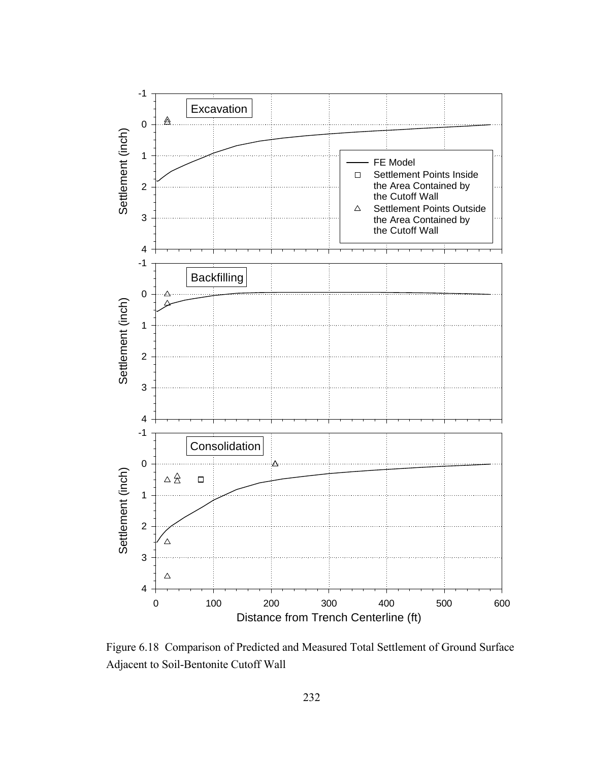

Figure 6.18 Comparison of Predicted and Measured Total Settlement of Ground Surface Adjacent to Soil-Bentonite Cutoff Wall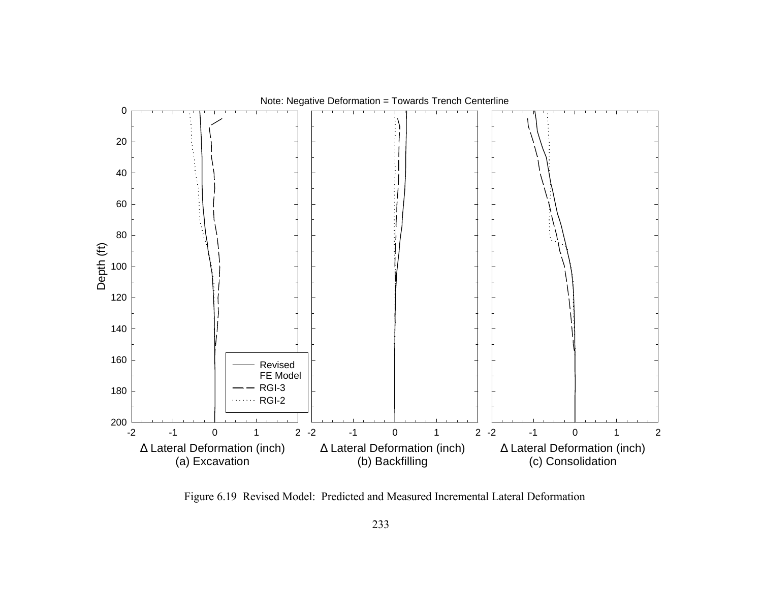

Figure 6.19 Revised Model: Predicted and Measured Incremental Lateral Deformation